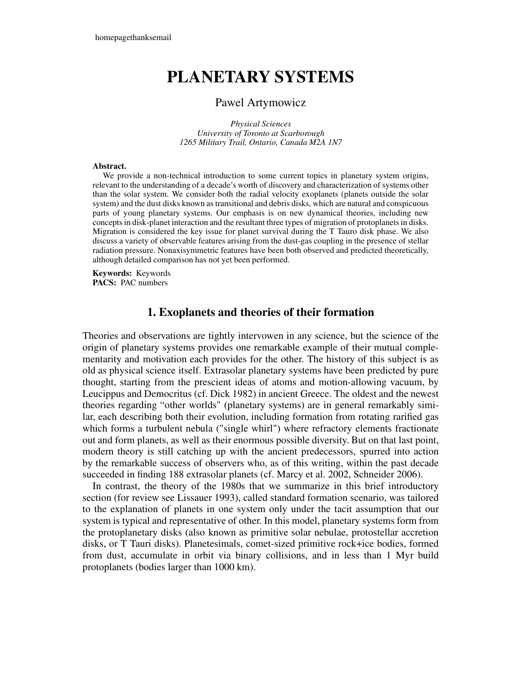# **PLANETARY SYSTEMS**

#### Pawel Artymowicz

*Physical Sciences University of Toronto at Scarborough 1265 Military Trail, Ontario, Canada M2A 1N7*

#### **Abstract.**

We provide a non-technical introduction to some current topics in planetary system origins, relevant to the understanding of a decade's worth of discovery and characterization of systems other than the solar system. We consider both the radial velocity exoplanets (planets outside the solar system) and the dust disks known as transitional and debris disks, which are natural and conspicuous parts of young planetary systems. Our emphasis is on new dynamical theories, including new conceptsin disk-planet interaction and the resultant three types of migration of protoplanetsin disks. Migration is considered the key issue for planet survival during the T Tauro disk phase. We also discuss a variety of observable features arising from the dust-gas coupling in the presence of stellar radiation pressure. Nonaxisymmetric features have been both observed and predicted theoretically, although detailed comparison has not yet been performed.

**Keywords:** Keywords **PACS:** PAC numbers

## **1. Exoplanets and theories of their formation**

Theories and observations are tightly intervowen in any science, but the science of the origin of planetary systems provides one remarkable example of their mutual complementarity and motivation each provides for the other. The history of this subject is as old as physical science itself. Extrasolar planetary systems have been predicted by pure thought, starting from the prescient ideas of atoms and motion-allowing vacuum, by Leucippus and Democritus (cf. Dick 1982) in ancient Greece. The oldest and the newest theories regarding "other worlds" (planetary systems) are in general remarkably similar, each describing both their evolution, including formation from rotating rarified gas which forms a turbulent nebula ("single whirl") where refractory elements fractionate out and form planets, as well as their enormous possible diversity. But on that last point, modern theory is still catching up with the ancient predecessors, spurred into action by the remarkable success of observers who, as of this writing, within the past decade succeeded in finding 188 extrasolar planets (cf. Marcy et al. 2002, Schneider 2006).

In contrast, the theory of the 1980s that we summarize in this brief introductory section (for review see Lissauer 1993), called standard formation scenario, was tailored to the explanation of planets in one system only under the tacit assumption that our system is typical and representative of other. In this model, planetary systems form from the protoplanetary disks (also known as primitive solar nebulae, protostellar accretion disks, or T Tauri disks). Planetesimals, comet-sized primitive rock+ice bodies, formed from dust, accumulate in orbit via binary collisions, and in less than 1 Myr build protoplanets (bodies larger than 1000 km).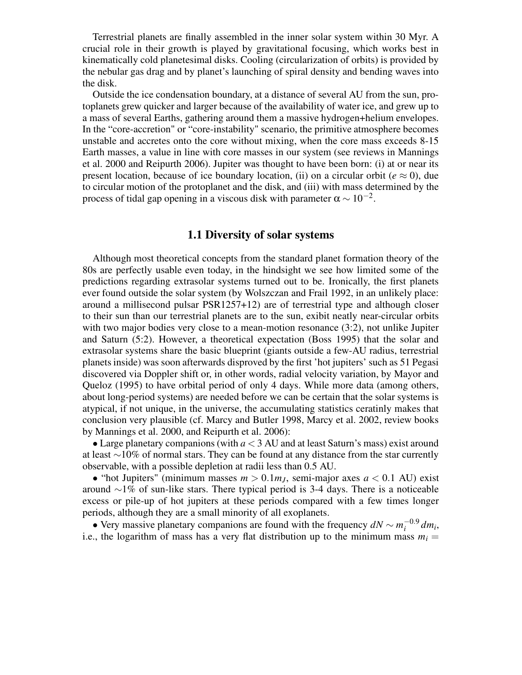Terrestrial planets are finally assembled in the inner solar system within 30 Myr. A crucial role in their growth is played by gravitational focusing, which works best in kinematically cold planetesimal disks. Cooling (circularization of orbits) is provided by the nebular gas drag and by planet's launching of spiral density and bending waves into the disk.

Outside the ice condensation boundary, at a distance of several AU from the sun, protoplanets grew quicker and larger because of the availability of water ice, and grew up to a mass of several Earths, gathering around them a massive hydrogen+helium envelopes. In the "core-accretion" or "core-instability" scenario, the primitive atmosphere becomes unstable and accretes onto the core without mixing, when the core mass exceeds 8-15 Earth masses, a value in line with core masses in our system (see reviews in Mannings et al. 2000 and Reipurth 2006). Jupiter was thought to have been born: (i) at or near its present location, because of ice boundary location, (ii) on a circular orbit ( $e \approx 0$ ), due to circular motion of the protoplanet and the disk, and (iii) with mass determined by the process of tidal gap opening in a viscous disk with parameter  $\alpha \sim 10^{-2}$ .

#### **1.1 Diversity of solar systems**

Although most theoretical concepts from the standard planet formation theory of the 80s are perfectly usable even today, in the hindsight we see how limited some of the predictions regarding extrasolar systems turned out to be. Ironically, the first planets ever found outside the solar system (by Wolszczan and Frail 1992, in an unlikely place: around a millisecond pulsar PSR1257+12) are of terrestrial type and although closer to their sun than our terrestrial planets are to the sun, exibit neatly near-circular orbits with two major bodies very close to a mean-motion resonance (3:2), not unlike Jupiter and Saturn (5:2). However, a theoretical expectation (Boss 1995) that the solar and extrasolar systems share the basic blueprint (giants outside a few-AU radius, terrestrial planetsinside) was soon afterwards disproved by the first 'hot jupiters' such as 51 Pegasi discovered via Doppler shift or, in other words, radial velocity variation, by Mayor and Queloz (1995) to have orbital period of only 4 days. While more data (among others, about long-period systems) are needed before we can be certain that the solar systems is atypical, if not unique, in the universe, the accumulating statistics ceratinly makes that conclusion very plausible (cf. Marcy and Butler 1998, Marcy et al. 2002, review books by Mannings et al. 2000, and Reipurth et al. 2006):

• Large planetary companions (with  $a < 3$  AU and at least Saturn's mass) exist around at least ∼10% of normal stars. They can be found at any distance from the star currently observable, with a possible depletion at radii less than 0.5 AU.

• "hot Jupiters" (minimum masses  $m > 0.1 m<sub>J</sub>$ , semi-major axes  $a < 0.1$  AU) exist around ∼1% of sun-like stars. There typical period is 3-4 days. There is a noticeable excess or pile-up of hot jupiters at these periods compared with a few times longer periods, although they are a small minority of all exoplanets.

• Very massive planetary companions are found with the frequency  $dN \sim m_i^{-0.9} dm_i$ , i.e., the logarithm of mass has a very flat distribution up to the minimum mass  $m_i =$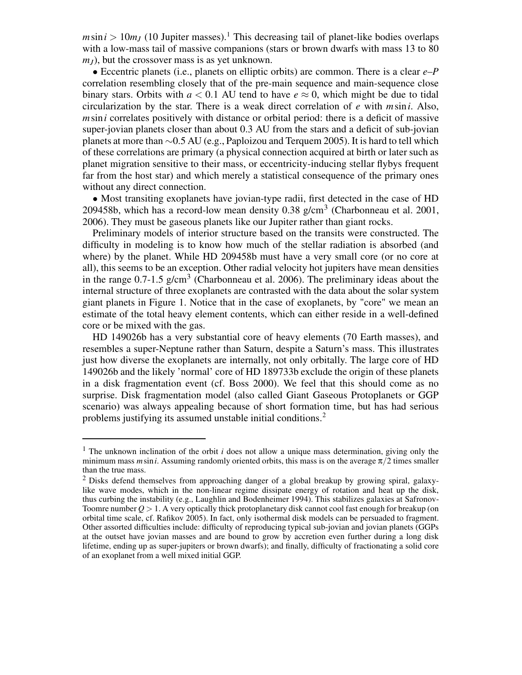$m\sin i > 10m<sub>I</sub>$  (10 Jupiter masses).<sup>1</sup> This decreasing tail of planet-like bodies overlaps with a low-mass tail of massive companions (stars or brown dwarfs with mass 13 to 80  $m<sub>I</sub>$ ), but the crossover mass is as yet unknown.

• Eccentric planets (i.e., planets on elliptic orbits) are common. There is a clear *e*–*P* correlation resembling closely that of the pre-main sequence and main-sequence close binary stars. Orbits with  $a < 0.1$  AU tend to have  $e \approx 0$ , which might be due to tidal circularization by the star. There is a weak direct correlation of *e* with *m*sin*i*. Also, *m*sin*i* correlates positively with distance or orbital period: there is a deficit of massive super-jovian planets closer than about 0.3 AU from the stars and a deficit of sub-jovian planets at more than ∼0.5 AU (e.g., Paploizou and Terquem 2005). It is hard to tell which of these correlations are primary (a physical connection acquired at birth or later such as planet migration sensitive to their mass, or eccentricity-inducing stellar flybys frequent far from the host star) and which merely a statistical consequence of the primary ones without any direct connection.

• Most transiting exoplanets have jovian-type radii, first detected in the case of HD 209458b, which has a record-low mean density  $0.38$  g/cm<sup>3</sup> (Charbonneau et al. 2001, 2006). They must be gaseous planets like our Jupiter rather than giant rocks.

Preliminary models of interior structure based on the transits were constructed. The difficulty in modeling is to know how much of the stellar radiation is absorbed (and where) by the planet. While HD 209458b must have a very small core (or no core at all), this seems to be an exception. Other radial velocity hot jupiters have mean densities in the range  $0.7$ -1.5 g/cm<sup>3</sup> (Charbonneau et al. 2006). The preliminary ideas about the internal structure of three exoplanets are contrasted with the data about the solar system giant planets in Figure 1. Notice that in the case of exoplanets, by "core" we mean an estimate of the total heavy element contents, which can either reside in a well-defined core or be mixed with the gas.

HD 149026b has a very substantial core of heavy elements (70 Earth masses), and resembles a super-Neptune rather than Saturn, despite a Saturn's mass. This illustrates just how diverse the exoplanets are internally, not only orbitally. The large core of HD 149026b and the likely 'normal' core of HD 189733b exclude the origin of these planets in a disk fragmentation event (cf. Boss 2000). We feel that this should come as no surprise. Disk fragmentation model (also called Giant Gaseous Protoplanets or GGP scenario) was always appealing because of short formation time, but has had serious problems justifying its assumed unstable initial conditions.<sup>2</sup>

<sup>1</sup> The unknown inclination of the orbit *i* does not allow a unique mass determination, giving only the minimum mass  $m \sin i$ . Assuming randomly oriented orbits, this mass is on the average  $\pi/2$  times smaller than the true mass.

<sup>&</sup>lt;sup>2</sup> Disks defend themselves from approaching danger of a global breakup by growing spiral, galaxylike wave modes, which in the non-linear regime dissipate energy of rotation and heat up the disk, thus curbing the instability (e.g., Laughlin and Bodenheimer 1994). This stabilizes galaxies at Safronov-Toomre number  $Q > 1$ . A very optically thick protoplanetary disk cannot cool fast enough for breakup (on orbital time scale, cf. Rafikov 2005). In fact, only isothermal disk models can be persuaded to fragment. Other assorted difficulties include: difficulty of reproducing typical sub-jovian and jovian planets (GGPs at the outset have jovian masses and are bound to grow by accretion even further during a long disk lifetime, ending up as super-jupiters or brown dwarfs); and finally, difficulty of fractionating a solid core of an exoplanet from a well mixed initial GGP.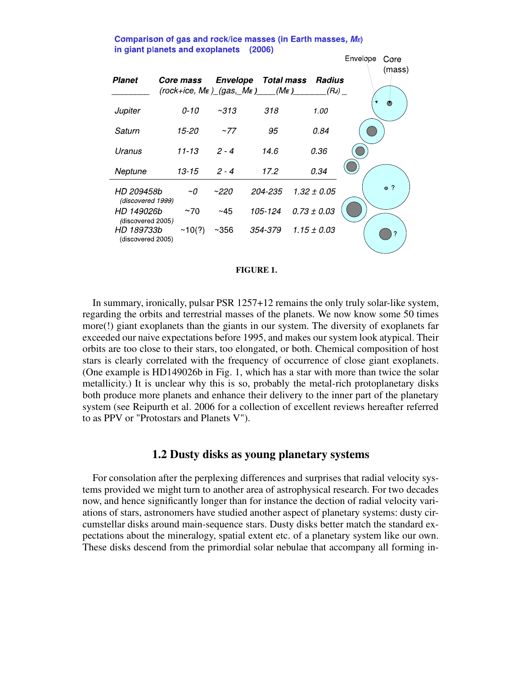Comparison of gas and rock/ice masses (in Earth masses, ME) in giant planets and exoplanets (2006)



#### **FIGURE 1.**

In summary, ironically, pulsar PSR 1257+12 remains the only truly solar-like system, regarding the orbits and terrestrial masses of the planets. We now know some 50 times more(!) giant exoplanets than the giants in our system. The diversity of exoplanets far exceeded our naive expectations before 1995, and makes our system look atypical. Their orbits are too close to their stars, too elongated, or both. Chemical composition of host stars is clearly correlated with the frequency of occurrence of close giant exoplanets. (One example is HD149026b in Fig. 1, which has a star with more than twice the solar metallicity.) It is unclear why this is so, probably the metal-rich protoplanetary disks both produce more planets and enhance their delivery to the inner part of the planetary system (see Reipurth et al. 2006 for a collection of excellent reviews hereafter referred to as PPV or "Protostars and Planets V").

#### **1.2 Dusty disks as young planetary systems**

For consolation after the perplexing differences and surprises that radial velocity systems provided we might turn to another area of astrophysical research. For two decades now, and hence significantly longer than for instance the dection of radial velocity variations of stars, astronomers have studied another aspect of planetary systems: dusty circumstellar disks around main-sequence stars. Dusty disks better match the standard expectations about the mineralogy, spatial extent etc. of a planetary system like our own. These disks descend from the primordial solar nebulae that accompany all forming in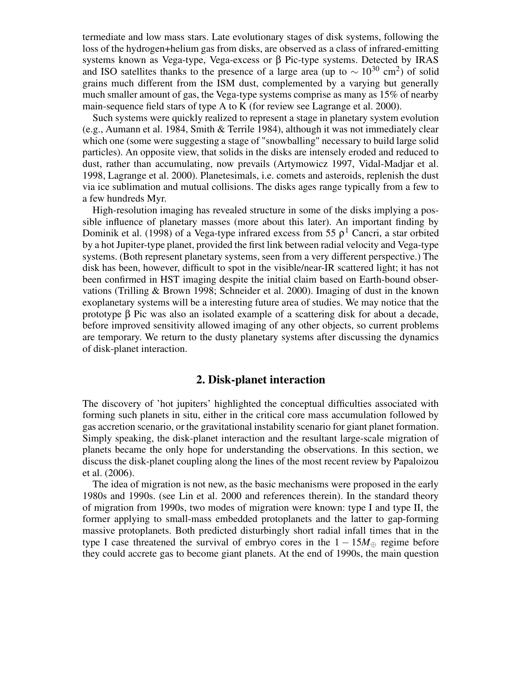termediate and low mass stars. Late evolutionary stages of disk systems, following the loss of the hydrogen+helium gas from disks, are observed as a class of infrared-emitting systems known as Vega-type, Vega-excess or β Pic-type systems. Detected by IRAS and ISO satellites thanks to the presence of a large area (up to  $\sim 10^{30}$  cm<sup>2</sup>) of solid grains much different from the ISM dust, complemented by a varying but generally much smaller amount of gas, the Vega-type systems comprise as many as 15% of nearby main-sequence field stars of type A to K (for review see Lagrange et al. 2000).

Such systems were quickly realized to represent a stage in planetary system evolution (e.g., Aumann et al. 1984, Smith & Terrile 1984), although it was not immediately clear which one (some were suggesting a stage of "snowballing" necessary to build large solid particles). An opposite view, that solids in the disks are intensely eroded and reduced to dust, rather than accumulating, now prevails (Artymowicz 1997, Vidal-Madjar et al. 1998, Lagrange et al. 2000). Planetesimals, i.e. comets and asteroids, replenish the dust via ice sublimation and mutual collisions. The disks ages range typically from a few to a few hundreds Myr.

High-resolution imaging has revealed structure in some of the disks implying a possible influence of planetary masses (more about this later). An important finding by Dominik et al. (1998) of a Vega-type infrared excess from 55  $\rho^1$  Cancri, a star orbited by a hot Jupiter-type planet, provided the first link between radial velocity and Vega-type systems. (Both represent planetary systems, seen from a very different perspective.) The disk has been, however, difficult to spot in the visible/near-IR scattered light; it has not been confirmed in HST imaging despite the initial claim based on Earth-bound observations (Trilling & Brown 1998; Schneider et al. 2000). Imaging of dust in the known exoplanetary systems will be a interesting future area of studies. We may notice that the prototype β Pic was also an isolated example of a scattering disk for about a decade, before improved sensitivity allowed imaging of any other objects, so current problems are temporary. We return to the dusty planetary systems after discussing the dynamics of disk-planet interaction.

#### **2. Disk-planet interaction**

The discovery of 'hot jupiters' highlighted the conceptual difficulties associated with forming such planets in situ, either in the critical core mass accumulation followed by gas accretion scenario, or the gravitational instability scenario for giant planet formation. Simply speaking, the disk-planet interaction and the resultant large-scale migration of planets became the only hope for understanding the observations. In this section, we discuss the disk-planet coupling along the lines of the most recent review by Papaloizou et al. (2006).

The idea of migration is not new, as the basic mechanisms were proposed in the early 1980s and 1990s. (see Lin et al. 2000 and references therein). In the standard theory of migration from 1990s, two modes of migration were known: type I and type II, the former applying to small-mass embedded protoplanets and the latter to gap-forming massive protoplanets. Both predicted disturbingly short radial infall times that in the type I case threatened the survival of embryo cores in the  $1 - 15M_{\oplus}$  regime before they could accrete gas to become giant planets. At the end of 1990s, the main question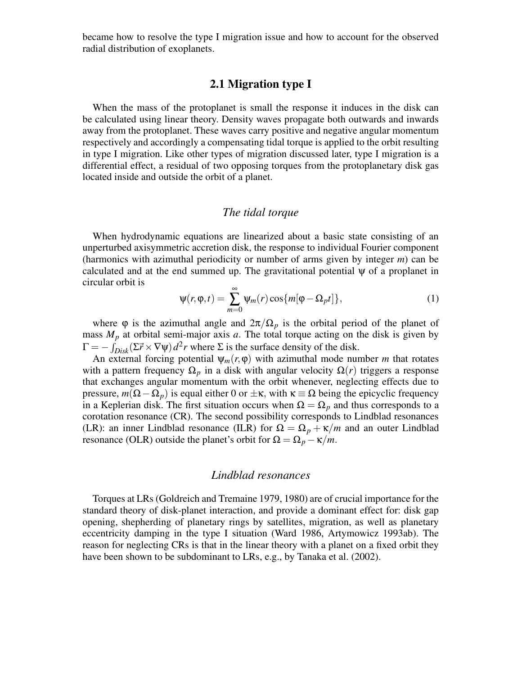became how to resolve the type I migration issue and how to account for the observed radial distribution of exoplanets.

## **2.1 Migration type I**

When the mass of the protoplanet is small the response it induces in the disk can be calculated using linear theory. Density waves propagate both outwards and inwards away from the protoplanet. These waves carry positive and negative angular momentum respectively and accordingly a compensating tidal torque is applied to the orbit resulting in type I migration. Like other types of migration discussed later, type I migration is a differential effect, a residual of two opposing torques from the protoplanetary disk gas located inside and outside the orbit of a planet.

# *The tidal torque*

When hydrodynamic equations are linearized about a basic state consisting of an unperturbed axisymmetric accretion disk, the response to individual Fourier component (harmonics with azimuthal periodicity or number of arms given by integer *m*) can be calculated and at the end summed up. The gravitational potential  $\psi$  of a proplanet in circular orbit is

$$
\Psi(r,\varphi,t) = \sum_{m=0}^{\infty} \Psi_m(r) \cos\{m[\varphi - \Omega_p t]\},\tag{1}
$$

where  $\varphi$  is the azimuthal angle and  $2\pi/\Omega_p$  is the orbital period of the planet of mass  $M_p$  at orbital semi-major axis  $a$ . The total torque acting on the disk is given by  $\Gamma = -\int_{Disk} (\Sigma \vec{r} \times \nabla \psi) d^2r$  where  $\Sigma$  is the surface density of the disk.

An external forcing potential  $\psi_m(r, \varphi)$  with azimuthal mode number *m* that rotates with a pattern frequency  $\Omega_p$  in a disk with angular velocity  $\Omega(r)$  triggers a response that exchanges angular momentum with the orbit whenever, neglecting effects due to pressure, *m*(Ω−Ω*p*) is equal either 0 or ±κ, with κ ≡ Ω being the epicyclic frequency in a Keplerian disk. The first situation occurs when  $\Omega = \Omega_p$  and thus corresponds to a corotation resonance (CR). The second possibility corresponds to Lindblad resonances (LR): an inner Lindblad resonance (ILR) for  $\Omega = \Omega_p + \kappa/m$  and an outer Lindblad resonance (OLR) outside the planet's orbit for  $\Omega = \Omega_p - \kappa/m$ .

#### *Lindblad resonances*

Torques at LRs (Goldreich and Tremaine 1979, 1980) are of crucial importance for the standard theory of disk-planet interaction, and provide a dominant effect for: disk gap opening, shepherding of planetary rings by satellites, migration, as well as planetary eccentricity damping in the type I situation (Ward 1986, Artymowicz 1993ab). The reason for neglecting CRs is that in the linear theory with a planet on a fixed orbit they have been shown to be subdominant to LRs, e.g., by Tanaka et al. (2002).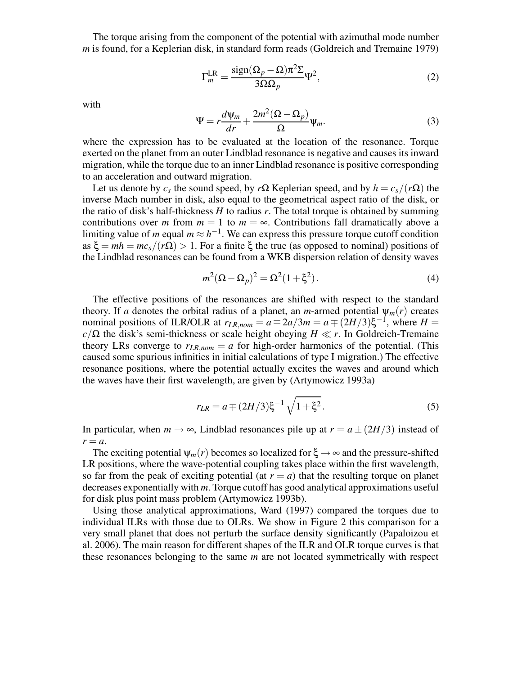The torque arising from the component of the potential with azimuthal mode number *m* is found, for a Keplerian disk, in standard form reads (Goldreich and Tremaine 1979)

$$
\Gamma_m^{\text{LR}} = \frac{\text{sign}(\Omega_p - \Omega)\pi^2 \Sigma}{3\Omega \Omega_p} \Psi^2,\tag{2}
$$

with

$$
\Psi = r \frac{d \Psi_m}{dr} + \frac{2m^2 (\Omega - \Omega_p)}{\Omega} \Psi_m.
$$
 (3)

where the expression has to be evaluated at the location of the resonance. Torque exerted on the planet from an outer Lindblad resonance is negative and causes its inward migration, while the torque due to an inner Lindblad resonance is positive corresponding to an acceleration and outward migration.

Let us denote by  $c_s$  the sound speed, by  $r\Omega$  Keplerian speed, and by  $h = c_s/(r\Omega)$  the inverse Mach number in disk, also equal to the geometrical aspect ratio of the disk, or the ratio of disk's half-thickness *H* to radius *r*. The total torque is obtained by summing contributions over *m* from  $m = 1$  to  $m = \infty$ . Contributions fall dramatically above a limiting value of *m* equal  $m \approx h^{-1}$ . We can express this pressure torque cutoff condition as  $\xi = m\hbar = mc_s/(r\Omega) > 1$ . For a finite  $\xi$  the true (as opposed to nominal) positions of the Lindblad resonances can be found from a WKB dispersion relation of density waves

$$
m^{2}(\Omega - \Omega_{p})^{2} = \Omega^{2}(1 + \xi^{2}).
$$
\n(4)

The effective positions of the resonances are shifted with respect to the standard theory. If *a* denotes the orbital radius of a planet, an *m*-armed potential  $\psi_m(r)$  creates nominal positions of ILR/OLR at  $r_{LR,nom} = a \mp 2a/3m = a \mp (2H/3)\xi^{-1}$ , where  $H =$  $c/\Omega$  the disk's semi-thickness or scale height obeying *H*  $\ll r$ . In Goldreich-Tremaine theory LRs converge to  $r_{LR,nom} = a$  for high-order harmonics of the potential. (This caused some spurious infinities in initial calculations of type I migration.) The effective resonance positions, where the potential actually excites the waves and around which the waves have their first wavelength, are given by (Artymowicz 1993a)

$$
r_{LR} = a \mp (2H/3)\xi^{-1}\sqrt{1+\xi^2}.
$$
 (5)

In particular, when  $m \to \infty$ , Lindblad resonances pile up at  $r = a \pm (2H/3)$  instead of  $r = a$ .

The exciting potential  $\psi_m(r)$  becomes so localized for  $\xi \to \infty$  and the pressure-shifted LR positions, where the wave-potential coupling takes place within the first wavelength, so far from the peak of exciting potential (at  $r = a$ ) that the resulting torque on planet decreases exponentially with *m*. Torque cutoff has good analytical approximations useful for disk plus point mass problem (Artymowicz 1993b).

Using those analytical approximations, Ward (1997) compared the torques due to individual ILRs with those due to OLRs. We show in Figure 2 this comparison for a very small planet that does not perturb the surface density significantly (Papaloizou et al. 2006). The main reason for different shapes of the ILR and OLR torque curves is that these resonances belonging to the same *m* are not located symmetrically with respect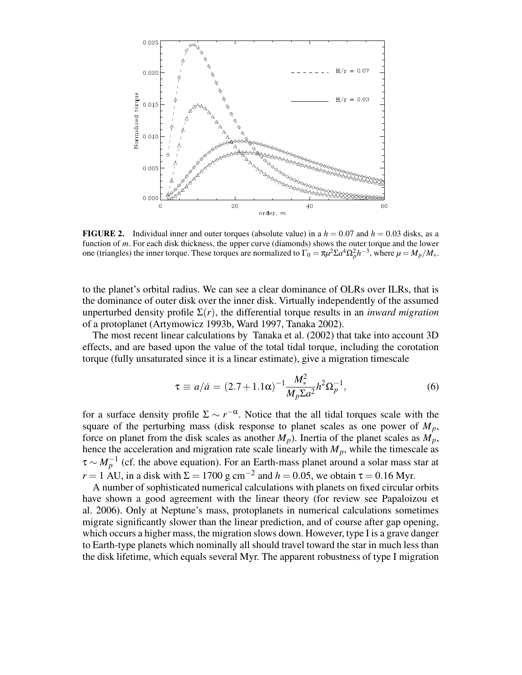

**FIGURE 2.** Individual inner and outer torques (absolute value) in a  $h = 0.07$  and  $h = 0.03$  disks, as a function of *m*. For each disk thickness, the upper curve (diamonds) shows the outer torque and the lower one (triangles) the inner torque. These torques are normalized to  $\Gamma_0 = \pi \mu^2 \Sigma a^4 \Omega_p^2 h^{-3}$ , where  $\mu = M_p / M_*$ .

to the planet's orbital radius. We can see a clear dominance of OLRs over ILRs, that is the dominance of outer disk over the inner disk. Virtually independently of the assumed unperturbed density profile  $\Sigma(r)$ , the differential torque results in an *inward migration* of a protoplanet (Artymowicz 1993b, Ward 1997, Tanaka 2002).

The most recent linear calculations by Tanaka et al. (2002) that take into account 3D effects, and are based upon the value of the total tidal torque, including the corotation torque (fully unsaturated since it is a linear estimate), give a migration timescale

$$
\tau \equiv a/\dot{a} = (2.7 + 1.1\alpha)^{-1} \frac{M_{*}^{2}}{M_{p}\Sigma a^{2}} h^{2} \Omega_{p}^{-1},
$$
\n(6)

for a surface density profile  $\Sigma \sim r^{-\alpha}$ . Notice that the all tidal torques scale with the square of the perturbing mass (disk response to planet scales as one power of  $M_p$ , force on planet from the disk scales as another  $M_p$ ). Inertia of the planet scales as  $M_p$ , hence the acceleration and migration rate scale linearly with  $M_p$ , while the timescale as  $\tau \sim M_p^{-1}$  (cf. the above equation). For an Earth-mass planet around a solar mass star at  $r = 1$  AU, in a disk with  $\Sigma = 1700$  g cm<sup>-2</sup> and  $h = 0.05$ , we obtain  $\tau = 0.16$  Myr.

A number of sophisticated numerical calculations with planets on fixed circular orbits have shown a good agreement with the linear theory (for review see Papaloizou et al. 2006). Only at Neptune's mass, protoplanets in numerical calculations sometimes migrate significantly slower than the linear prediction, and of course after gap opening, which occurs a higher mass, the migration slows down. However, type I is a grave danger to Earth-type planets which nominally all should travel toward the star in much less than the disk lifetime, which equals several Myr. The apparent robustness of type I migration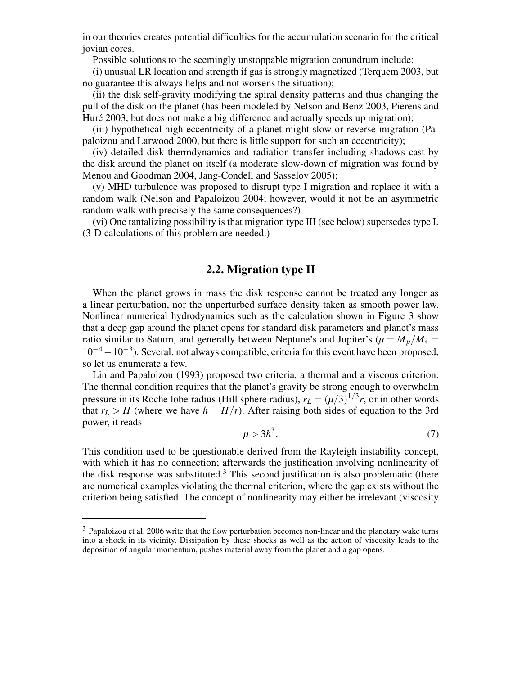in our theories creates potential difficulties for the accumulation scenario for the critical jovian cores.

Possible solutions to the seemingly unstoppable migration conundrum include:

(i) unusual LR location and strength if gas is strongly magnetized (Terquem 2003, but no guarantee this always helps and not worsens the situation);

(ii) the disk self-gravity modifying the spiral density patterns and thus changing the pull of the disk on the planet (has been modeled by Nelson and Benz 2003, Pierens and Huré 2003, but does not make a big difference and actually speeds up migration);

(iii) hypothetical high eccentricity of a planet might slow or reverse migration (Papaloizou and Larwood 2000, but there is little support for such an eccentricity);

(iv) detailed disk thermdynamics and radiation transfer including shadows cast by the disk around the planet on itself (a moderate slow-down of migration was found by Menou and Goodman 2004, Jang-Condell and Sasselov 2005);

(v) MHD turbulence was proposed to disrupt type I migration and replace it with a random walk (Nelson and Papaloizou 2004; however, would it not be an asymmetric random walk with precisely the same consequences?)

(vi) One tantalizing possibility is that migration type III (see below) supersedes type I. (3-D calculations of this problem are needed.)

# **2.2. Migration type II**

When the planet grows in mass the disk response cannot be treated any longer as a linear perturbation, nor the unperturbed surface density taken as smooth power law. Nonlinear numerical hydrodynamics such as the calculation shown in Figure 3 show that a deep gap around the planet opens for standard disk parameters and planet's mass ratio similar to Saturn, and generally between Neptune's and Jupiter's ( $\mu = M_p/M_* =$  $10^{-4} - 10^{-3}$ ). Several, not always compatible, criteria for this event have been proposed, so let us enumerate a few.

Lin and Papaloizou (1993) proposed two criteria, a thermal and a viscous criterion. The thermal condition requires that the planet's gravity be strong enough to overwhelm pressure in its Roche lobe radius (Hill sphere radius),  $r_L = (\mu/3)^{1/3}r$ , or in other words that  $r_L > H$  (where we have  $h = H/r$ ). After raising both sides of equation to the 3rd power, it reads

$$
\mu > 3h^3. \tag{7}
$$

This condition used to be questionable derived from the Rayleigh instability concept, with which it has no connection; afterwards the justification involving nonlinearity of the disk response was substituted.<sup>3</sup> This second justification is also problematic (there are numerical examples violating the thermal criterion, where the gap exists without the criterion being satisfied. The concept of nonlinearity may either be irrelevant (viscosity

<sup>&</sup>lt;sup>3</sup> Papaloizou et al. 2006 write that the flow perturbation becomes non-linear and the planetary wake turns into a shock in its vicinity. Dissipation by these shocks as well as the action of viscosity leads to the deposition of angular momentum, pushes material away from the planet and a gap opens.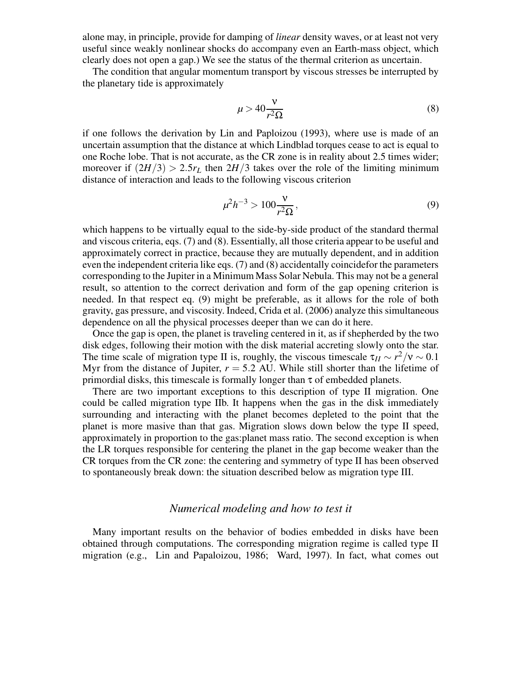alone may, in principle, provide for damping of *linear* density waves, or at least not very useful since weakly nonlinear shocks do accompany even an Earth-mass object, which clearly does not open a gap.) We see the status of the thermal criterion as uncertain.

The condition that angular momentum transport by viscous stresses be interrupted by the planetary tide is approximately

$$
\mu > 40 \frac{\nu}{r^2 \Omega} \tag{8}
$$

if one follows the derivation by Lin and Paploizou (1993), where use is made of an uncertain assumption that the distance at which Lindblad torques cease to act is equal to one Roche lobe. That is not accurate, as the CR zone is in reality about 2.5 times wider; moreover if  $(2H/3) > 2.5r<sub>L</sub>$  then  $2H/3$  takes over the role of the limiting minimum distance of interaction and leads to the following viscous criterion

$$
\mu^2 h^{-3} > 100 \frac{\nu}{r^2 \Omega},\tag{9}
$$

which happens to be virtually equal to the side-by-side product of the standard thermal and viscous criteria, eqs. (7) and (8). Essentially, all those criteria appear to be useful and approximately correct in practice, because they are mutually dependent, and in addition even the independent criteria like eqs. (7) and (8) accidentally coincidefor the parameters corresponding to the Jupiter in a Minimum Mass Solar Nebula. This may not be a general result, so attention to the correct derivation and form of the gap opening criterion is needed. In that respect eq. (9) might be preferable, as it allows for the role of both gravity, gas pressure, and viscosity. Indeed, Crida et al. (2006) analyze this simultaneous dependence on all the physical processes deeper than we can do it here.

Once the gap is open, the planet is traveling centered in it, as if shepherded by the two disk edges, following their motion with the disk material accreting slowly onto the star. The time scale of migration type II is, roughly, the viscous timescale  $\tau_H \sim r^2/v \sim 0.1$ Myr from the distance of Jupiter,  $r = 5.2$  AU. While still shorter than the lifetime of primordial disks, this timescale is formally longer than  $\tau$  of embedded planets.

There are two important exceptions to this description of type II migration. One could be called migration type IIb. It happens when the gas in the disk immediately surrounding and interacting with the planet becomes depleted to the point that the planet is more masive than that gas. Migration slows down below the type II speed, approximately in proportion to the gas:planet mass ratio. The second exception is when the LR torques responsible for centering the planet in the gap become weaker than the CR torques from the CR zone: the centering and symmetry of type II has been observed to spontaneously break down: the situation described below as migration type III.

#### *Numerical modeling and how to test it*

Many important results on the behavior of bodies embedded in disks have been obtained through computations. The corresponding migration regime is called type II migration (e.g., Lin and Papaloizou, 1986; Ward, 1997). In fact, what comes out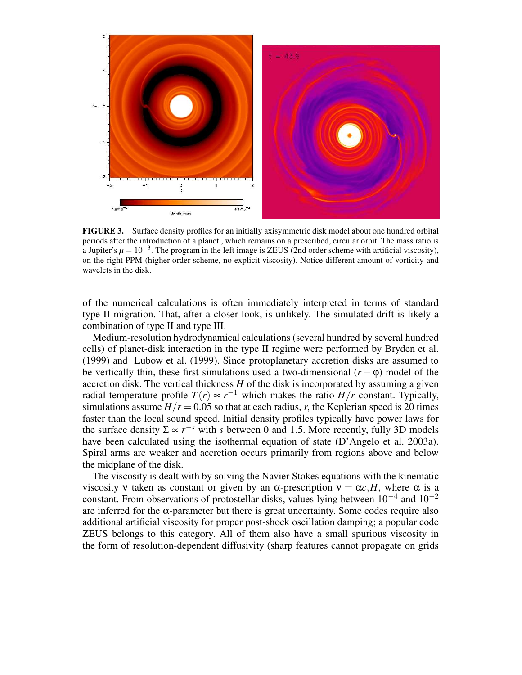

**FIGURE 3.** Surface density profiles for an initially axisymmetric disk model about one hundred orbital periods after the introduction of a planet , which remains on a prescribed, circular orbit. The mass ratio is a Jupiter's  $\mu = 10^{-3}$ . The program in the left image is ZEUS (2nd order scheme with artificial viscosity), on the right PPM (higher order scheme, no explicit viscosity). Notice different amount of vorticity and wavelets in the disk.

of the numerical calculations is often immediately interpreted in terms of standard type II migration. That, after a closer look, is unlikely. The simulated drift is likely a combination of type II and type III.

Medium-resolution hydrodynamical calculations (several hundred by several hundred cells) of planet-disk interaction in the type II regime were performed by Bryden et al. (1999) and Lubow et al. (1999). Since protoplanetary accretion disks are assumed to be vertically thin, these first simulations used a two-dimensional  $(r - \varphi)$  model of the accretion disk. The vertical thickness *H* of the disk is incorporated by assuming a given radial temperature profile  $T(r) \propto r^{-1}$  which makes the ratio  $H/r$  constant. Typically, simulations assume  $H/r = 0.05$  so that at each radius, *r*, the Keplerian speed is 20 times faster than the local sound speed. Initial density profiles typically have power laws for the surface density  $\Sigma \propto r^{-s}$  with *s* between 0 and 1.5. More recently, fully 3D models have been calculated using the isothermal equation of state (D'Angelo et al. 2003a). Spiral arms are weaker and accretion occurs primarily from regions above and below the midplane of the disk.

The viscosity is dealt with by solving the Navier Stokes equations with the kinematic viscosity v taken as constant or given by an α-prescription  $ν = α c<sub>s</sub>H$ , where α is a constant. From observations of protostellar disks, values lying between  $10^{-4}$  and  $10^{-2}$ are inferred for the  $\alpha$ -parameter but there is great uncertainty. Some codes require also additional artificial viscosity for proper post-shock oscillation damping; a popular code ZEUS belongs to this category. All of them also have a small spurious viscosity in the form of resolution-dependent diffusivity (sharp features cannot propagate on grids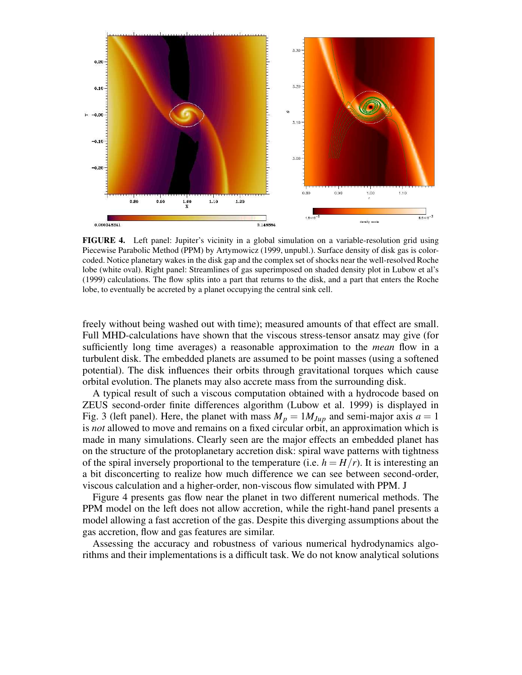

**FIGURE 4.** Left panel: Jupiter's vicinity in a global simulation on a variable-resolution grid using Piecewise Parabolic Method (PPM) by Artymowicz (1999, unpubl.). Surface density of disk gas is colorcoded. Notice planetary wakes in the disk gap and the complex set of shocks near the well-resolved Roche lobe (white oval). Right panel: Streamlines of gas superimposed on shaded density plot in Lubow et al's (1999) calculations. The flow splits into a part that returns to the disk, and a part that enters the Roche lobe, to eventually be accreted by a planet occupying the central sink cell.

freely without being washed out with time); measured amounts of that effect are small. Full MHD-calculations have shown that the viscous stress-tensor ansatz may give (for sufficiently long time averages) a reasonable approximation to the *mean* flow in a turbulent disk. The embedded planets are assumed to be point masses (using a softened potential). The disk influences their orbits through gravitational torques which cause orbital evolution. The planets may also accrete mass from the surrounding disk.

A typical result of such a viscous computation obtained with a hydrocode based on ZEUS second-order finite differences algorithm (Lubow et al. 1999) is displayed in Fig. 3 (left panel). Here, the planet with mass  $M_p = 1 M_{Jup}$  and semi-major axis  $a = 1$ is *not* allowed to move and remains on a fixed circular orbit, an approximation which is made in many simulations. Clearly seen are the major effects an embedded planet has on the structure of the protoplanetary accretion disk: spiral wave patterns with tightness of the spiral inversely proportional to the temperature (i.e.  $h = H/r$ ). It is interesting an a bit disconcerting to realize how much difference we can see between second-order, viscous calculation and a higher-order, non-viscous flow simulated with PPM. J

Figure 4 presents gas flow near the planet in two different numerical methods. The PPM model on the left does not allow accretion, while the right-hand panel presents a model allowing a fast accretion of the gas. Despite this diverging assumptions about the gas accretion, flow and gas features are similar.

Assessing the accuracy and robustness of various numerical hydrodynamics algorithms and their implementations is a difficult task. We do not know analytical solutions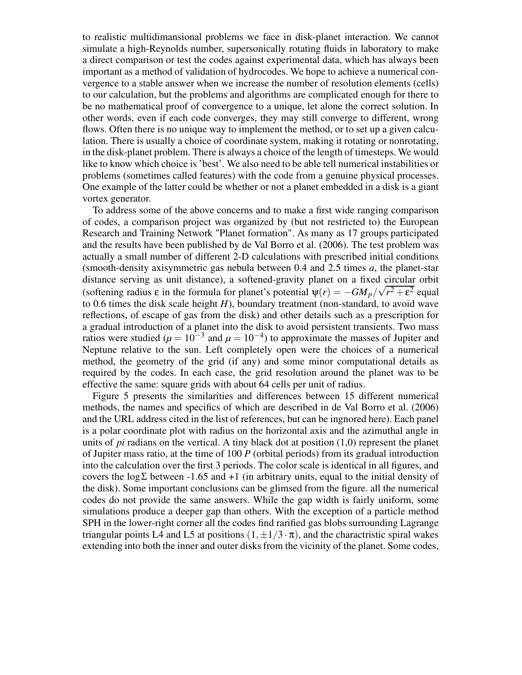to realistic multidimansional problems we face in disk-planet interaction. We cannot simulate a high-Reynolds number, supersonically rotating fluids in laboratory to make a direct comparison or test the codes against experimental data, which has always been important as a method of validation of hydrocodes. We hope to achieve a numerical convergence to a stable answer when we increase the number of resolution elements (cells) to our calculation, but the problems and algorithms are complicated enough for there to be no mathematical proof of convergence to a unique, let alone the correct solution. In other words, even if each code converges, they may still converge to different, wrong flows. Often there is no unique way to implement the method, or to set up a given calculation. There is usually a choice of coordinate system, making it rotating or nonrotating, in the disk-planet problem. There is always a choice of the length of timesteps. We would like to know which choice is 'best'. We also need to be able tell numerical instabilities or problems (sometimes called features) with the code from a genuine physical processes. One example of the latter could be whether or not a planet embedded in a disk is a giant vortex generator.

To address some of the above concerns and to make a first wide ranging comparison of codes, a comparison project was organized by (but not restricted to) the European Research and Training Network "Planet formation". As many as 17 groups participated and the results have been published by de Val Borro et al. (2006). The test problem was actually a small number of different 2-D calculations with prescribed initial conditions (smooth-density axisymmetric gas nebula between 0.4 and 2.5 times *a*, the planet-star distance serving as unit distance), a softened-gravity planet on a fixed circular orbit (softening radius  $\varepsilon$  in the formula for planet's potential  $\psi(r) = -GM_p/\sqrt{r^2 + \varepsilon^2}$  equal  $\psi(r) = -GM_p/\sqrt{r^2 + \varepsilon^2}$ to 0.6 times the disk scale height *H*), boundary treatment (non-standard, to avoid wave reflections, of escape of gas from the disk) and other details such as a prescription for a gradual introduction of a planet into the disk to avoid persistent transients. Two mass ratios were studied ( $\mu = 10^{-3}$  and  $\mu = 10^{-4}$ ) to approximate the masses of Jupiter and Neptune relative to the sun. Left completely open were the choices of a numerical method, the geometry of the grid (if any) and some minor computational details as required by the codes. In each case, the grid resolution around the planet was to be effective the same: square grids with about 64 cells per unit of radius.

Figure 5 presents the similarities and differences between 15 different numerical methods, the names and specifics of which are described in de Val Borro et al. (2006) and the URL address cited in the list of references, but can be ingnored here). Each panel is a polar coordinate plot with radius on the horizontal axis and the azimuthal angle in units of *pi* radians on the vertical. A tiny black dot at position  $(1,0)$  represent the planet of Jupiter mass ratio, at the time of 100 *P* (orbital periods) from its gradual introduction into the calculation over the first 3 periods. The color scale is identical in all figures, and covers the  $log\Sigma$  between -1.65 and +1 (in arbitrary units, equal to the initial density of the disk). Some important conclusions can be glimsed from the figure. all the numerical codes do not provide the same answers. While the gap width is fairly uniform, some simulations produce a deeper gap than others. With the exception of a particle method SPH in the lower-right corner all the codes find rarified gas blobs surrounding Lagrange triangular points L4 and L5 at positions  $(1, \pm 1/3 \cdot \pi)$ , and the charactristic spiral wakes extending into both the inner and outer disks from the vicinity of the planet. Some codes,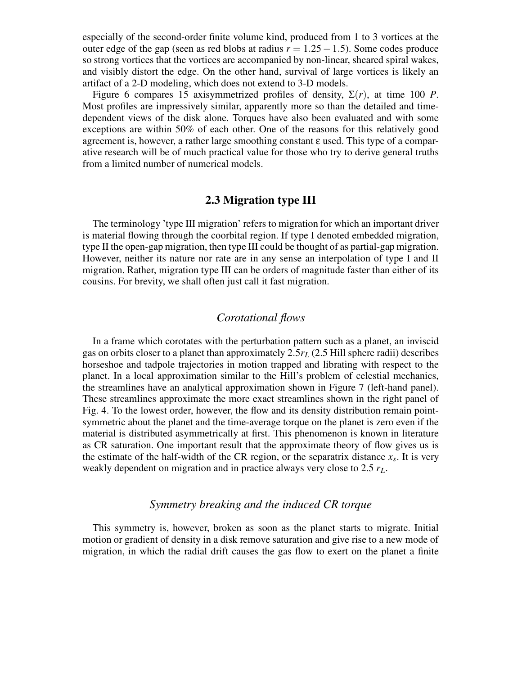especially of the second-order finite volume kind, produced from 1 to 3 vortices at the outer edge of the gap (seen as red blobs at radius *r* = 1.25−1.5). Some codes produce so strong vortices that the vortices are accompanied by non-linear, sheared spiral wakes, and visibly distort the edge. On the other hand, survival of large vortices is likely an artifact of a 2-D modeling, which does not extend to 3-D models.

Figure 6 compares 15 axisymmetrized profiles of density,  $\Sigma(r)$ , at time 100 *P*. Most profiles are impressively similar, apparently more so than the detailed and timedependent views of the disk alone. Torques have also been evaluated and with some exceptions are within 50% of each other. One of the reasons for this relatively good agreement is, however, a rather large smoothing constant  $\varepsilon$  used. This type of a comparative research will be of much practical value for those who try to derive general truths from a limited number of numerical models.

#### **2.3 Migration type III**

The terminology 'type III migration' refers to migration for which an important driver is material flowing through the coorbital region. If type I denoted embedded migration, type II the open-gap migration, then type III could be thought of as partial-gap migration. However, neither its nature nor rate are in any sense an interpolation of type I and II migration. Rather, migration type III can be orders of magnitude faster than either of its cousins. For brevity, we shall often just call it fast migration.

#### *Corotational flows*

In a frame which corotates with the perturbation pattern such as a planet, an inviscid gas on orbits closer to a planet than approximately 2.5*r<sup>L</sup>* (2.5 Hill sphere radii) describes horseshoe and tadpole trajectories in motion trapped and librating with respect to the planet. In a local approximation similar to the Hill's problem of celestial mechanics, the streamlines have an analytical approximation shown in Figure 7 (left-hand panel). These streamlines approximate the more exact streamlines shown in the right panel of Fig. 4. To the lowest order, however, the flow and its density distribution remain pointsymmetric about the planet and the time-average torque on the planet is zero even if the material is distributed asymmetrically at first. This phenomenon is known in literature as CR saturation. One important result that the approximate theory of flow gives us is the estimate of the half-width of the CR region, or the separatrix distance  $x_s$ . It is very weakly dependent on migration and in practice always very close to 2.5 *rL*.

#### *Symmetry breaking and the induced CR torque*

This symmetry is, however, broken as soon as the planet starts to migrate. Initial motion or gradient of density in a disk remove saturation and give rise to a new mode of migration, in which the radial drift causes the gas flow to exert on the planet a finite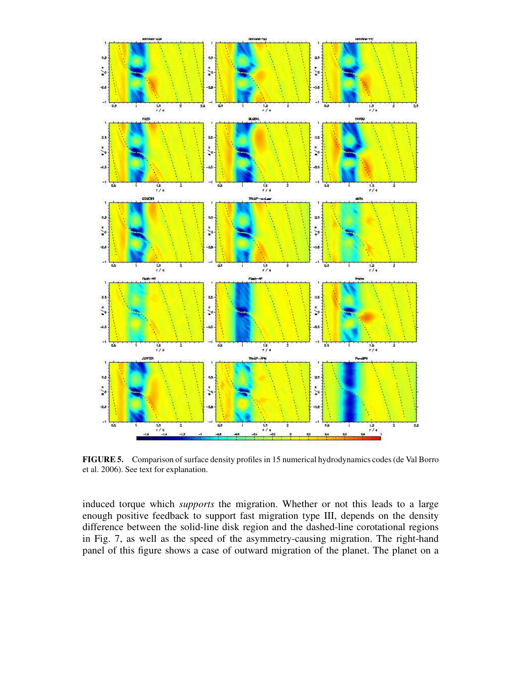

**FIGURE 5.** Comparison of surface density profiles in 15 numerical hydrodynamics codes (de Val Borro et al. 2006). See text for explanation.

induced torque which *supports* the migration. Whether or not this leads to a large enough positive feedback to support fast migration type III, depends on the density difference between the solid-line disk region and the dashed-line corotational regions in Fig. 7, as well as the speed of the asymmetry-causing migration. The right-hand panel of this figure shows a case of outward migration of the planet. The planet on a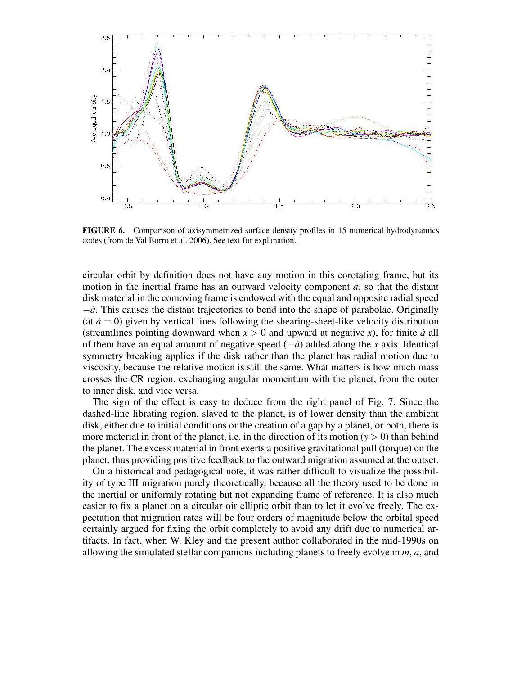

**FIGURE 6.** Comparison of axisymmetrized surface density profiles in 15 numerical hydrodynamics codes (from de Val Borro et al. 2006). See text for explanation.

circular orbit by definition does not have any motion in this corotating frame, but its motion in the inertial frame has an outward velocity component  $\dot{a}$ , so that the distant disk material in the comoving frame is endowed with the equal and opposite radial speed −*a*˙. This causes the distant trajectories to bend into the shape of parabolae. Originally (at  $\dot{a} = 0$ ) given by vertical lines following the shearing-sheet-like velocity distribution (streamlines pointing downward when  $x > 0$  and upward at negative x), for finite *a* all of them have an equal amount of negative speed (−*a*˙) added along the *x* axis. Identical symmetry breaking applies if the disk rather than the planet has radial motion due to viscosity, because the relative motion is still the same. What matters is how much mass crosses the CR region, exchanging angular momentum with the planet, from the outer to inner disk, and vice versa.

The sign of the effect is easy to deduce from the right panel of Fig. 7. Since the dashed-line librating region, slaved to the planet, is of lower density than the ambient disk, either due to initial conditions or the creation of a gap by a planet, or both, there is more material in front of the planet, i.e. in the direction of its motion  $(y > 0)$  than behind the planet. The excess material in front exerts a positive gravitational pull (torque) on the planet, thus providing positive feedback to the outward migration assumed at the outset.

On a historical and pedagogical note, it was rather difficult to visualize the possibility of type III migration purely theoretically, because all the theory used to be done in the inertial or uniformly rotating but not expanding frame of reference. It is also much easier to fix a planet on a circular oir elliptic orbit than to let it evolve freely. The expectation that migration rates will be four orders of magnitude below the orbital speed certainly argued for fixing the orbit completely to avoid any drift due to numerical artifacts. In fact, when W. Kley and the present author collaborated in the mid-1990s on allowing the simulated stellar companions including planets to freely evolve in *m*, *a*, and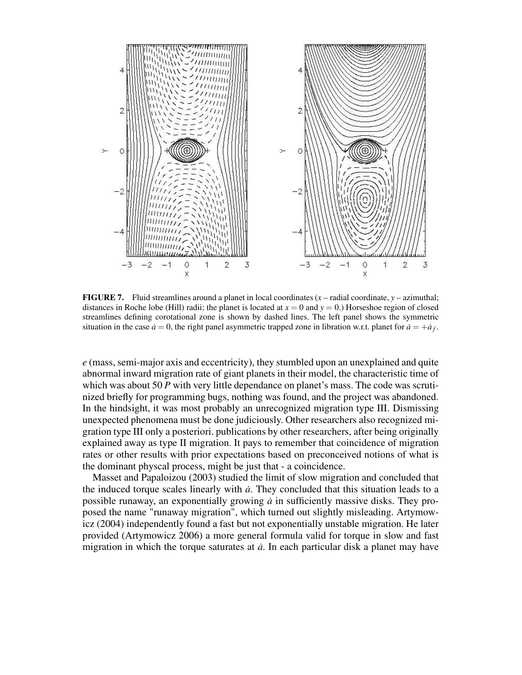

**FIGURE 7.** Fluid streamlines around a planet in local coordinates  $(x -$  radial coordinate,  $y -$  azimuthal; distances in Roche lobe (Hill) radii; the planet is located at  $x = 0$  and  $y = 0$ .) Horseshoe region of closed streamlines defining corotational zone is shown by dashed lines. The left panel shows the symmetric situation in the case  $\dot{a} = 0$ , the right panel asymmetric trapped zone in libration w.r.t. planet for  $\dot{a} = +\dot{a}_f$ .

*e* (mass, semi-major axis and eccentricity), they stumbled upon an unexplained and quite abnormal inward migration rate of giant planets in their model, the characteristic time of which was about 50 *P* with very little dependance on planet's mass. The code was scrutinized briefly for programming bugs, nothing was found, and the project was abandoned. In the hindsight, it was most probably an unrecognized migration type III. Dismissing unexpected phenomena must be done judiciously. Other researchers also recognized migration type III only a posteriori. publications by other researchers, after being originally explained away as type II migration. It pays to remember that coincidence of migration rates or other results with prior expectations based on preconceived notions of what is the dominant physcal process, might be just that - a coincidence.

Masset and Papaloizou (2003) studied the limit of slow migration and concluded that the induced torque scales linearly with *a*˙. They concluded that this situation leads to a possible runaway, an exponentially growing *a*˙ in sufficiently massive disks. They proposed the name "runaway migration", which turned out slightly misleading. Artymowicz (2004) independently found a fast but not exponentially unstable migration. He later provided (Artymowicz 2006) a more general formula valid for torque in slow and fast migration in which the torque saturates at  $\dot{a}$ . In each particular disk a planet may have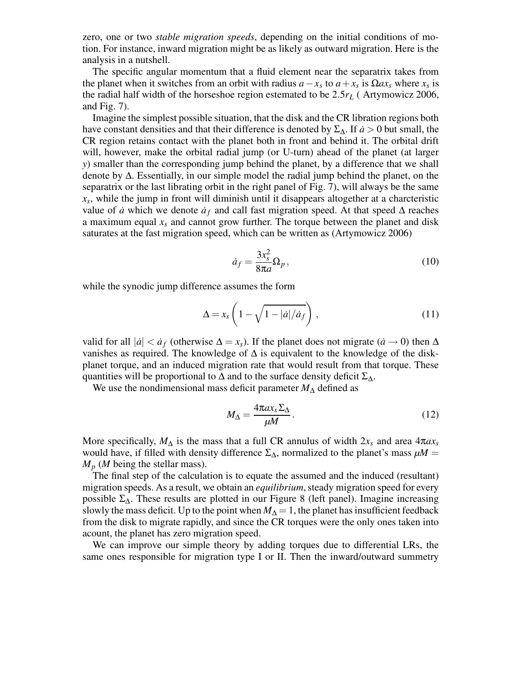zero, one or two *stable migration speeds*, depending on the initial conditions of motion. For instance, inward migration might be as likely as outward migration. Here is the analysis in a nutshell.

The specific angular momentum that a fluid element near the separatrix takes from the planet when it switches from an orbit with radius  $a - x_s$  to  $a + x_s$  is  $\Omega a x_s$  where  $x_s$  is the radial half width of the horseshoe region estemated to be 2.5*r<sup>L</sup>* ( Artymowicz 2006, and Fig. 7).

Imagine the simplest possible situation, that the disk and the CR libration regions both have constant densities and that their difference is denoted by  $\Sigma_{\Delta}$ . If *a* > 0 but small, the CR region retains contact with the planet both in front and behind it. The orbital drift will, however, make the orbital radial jump (or U-turn) ahead of the planet (at larger *y*) smaller than the corresponding jump behind the planet, by a difference that we shall denote by ∆. Essentially, in our simple model the radial jump behind the planet, on the separatrix or the last librating orbit in the right panel of Fig. 7), will always be the same *xs* , while the jump in front will diminish until it disappears altogether at a charcteristic value of *a* which we denote  $a_f$  and call fast migration speed. At that speed  $\Delta$  reaches a maximum equal *x<sup>s</sup>* and cannot grow further. The torque between the planet and disk saturates at the fast migration speed, which can be written as (Artymowicz 2006)

$$
\dot{a}_f = \frac{3x_s^2}{8\pi a} \Omega_p, \qquad (10)
$$

while the synodic jump difference assumes the form

$$
\Delta = x_s \left( 1 - \sqrt{1 - |a| / a_f} \right),\tag{11}
$$

valid for all  $|\dot{a}| < \dot{a}_f$  (otherwise  $\Delta = x_s$ ). If the planet does not migrate  $(\dot{a} \rightarrow 0)$  then  $\Delta$ vanishes as required. The knowledge of  $\Delta$  is equivalent to the knowledge of the diskplanet torque, and an induced migration rate that would result from that torque. These quantities will be proportional to  $\Delta$  and to the surface density deficit  $\Sigma_{\Delta}$ .

We use the nondimensional mass deficit parameter *M*<sup>∆</sup> defined as

$$
M_{\Delta} = \frac{4\pi a x_s \Sigma_{\Delta}}{\mu M}.
$$
\n(12)

More specifically,  $M_{\Delta}$  is the mass that a full CR annulus of width  $2x_s$  and area  $4\pi a x_s$ would have, if filled with density difference  $\Sigma_{\Delta}$ , normalized to the planet's mass  $\mu M =$  $M_p$  (*M* being the stellar mass).

The final step of the calculation is to equate the assumed and the induced (resultant) migration speeds. As a result, we obtain an *equilibrium*, steady migration speed for every possible  $\Sigma_{\Delta}$ . These results are plotted in our Figure 8 (left panel). Imagine increasing slowly the mass deficit. Up to the point when  $M_\Delta = 1$ , the planet has insufficient feedback from the disk to migrate rapidly, and since the CR torques were the only ones taken into acount, the planet has zero migration speed.

We can improve our simple theory by adding torques due to differential LRs, the same ones responsible for migration type I or II. Then the inward/outward summetry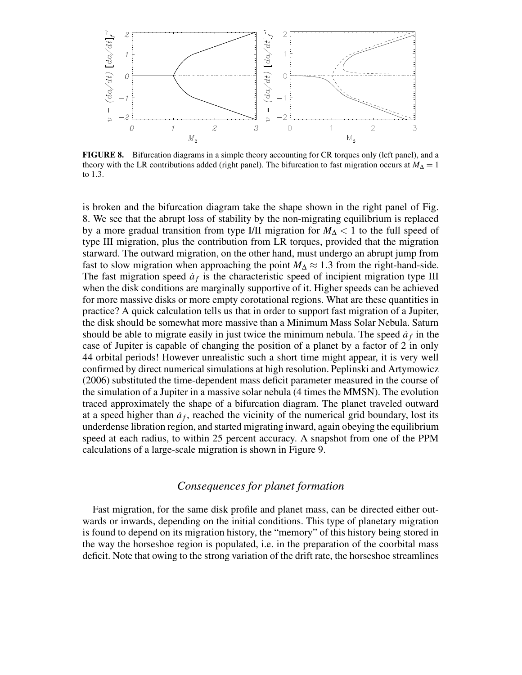

**FIGURE 8.** Bifurcation diagrams in a simple theory accounting for CR torques only (left panel), and a theory with the LR contributions added (right panel). The bifurcation to fast migration occurs at  $M_{\Delta} = 1$ to 1.3.

is broken and the bifurcation diagram take the shape shown in the right panel of Fig. 8. We see that the abrupt loss of stability by the non-migrating equilibrium is replaced by a more gradual transition from type I/II migration for *M*<sup>∆</sup> < 1 to the full speed of type III migration, plus the contribution from LR torques, provided that the migration starward. The outward migration, on the other hand, must undergo an abrupt jump from fast to slow migration when approaching the point  $M_\Delta \approx 1.3$  from the right-hand-side. The fast migration speed  $\dot{a}_f$  is the characteristic speed of incipient migration type III when the disk conditions are marginally supportive of it. Higher speeds can be achieved for more massive disks or more empty corotational regions. What are these quantities in practice? A quick calculation tells us that in order to support fast migration of a Jupiter, the disk should be somewhat more massive than a Minimum Mass Solar Nebula. Saturn should be able to migrate easily in just twice the minimum nebula. The speed  $\dot{a}_f$  in the case of Jupiter is capable of changing the position of a planet by a factor of 2 in only 44 orbital periods! However unrealistic such a short time might appear, it is very well confirmed by direct numerical simulations at high resolution. Peplinski and Artymowicz (2006) substituted the time-dependent mass deficit parameter measured in the course of the simulation of a Jupiter in a massive solar nebula (4 times the MMSN). The evolution traced approximately the shape of a bifurcation diagram. The planet traveled outward at a speed higher than  $a<sub>f</sub>$ , reached the vicinity of the numerical grid boundary, lost its underdense libration region, and started migrating inward, again obeying the equilibrium speed at each radius, to within 25 percent accuracy. A snapshot from one of the PPM calculations of a large-scale migration is shown in Figure 9.

#### *Consequences for planet formation*

Fast migration, for the same disk profile and planet mass, can be directed either outwards or inwards, depending on the initial conditions. This type of planetary migration is found to depend on its migration history, the "memory" of this history being stored in the way the horseshoe region is populated, i.e. in the preparation of the coorbital mass deficit. Note that owing to the strong variation of the drift rate, the horseshoe streamlines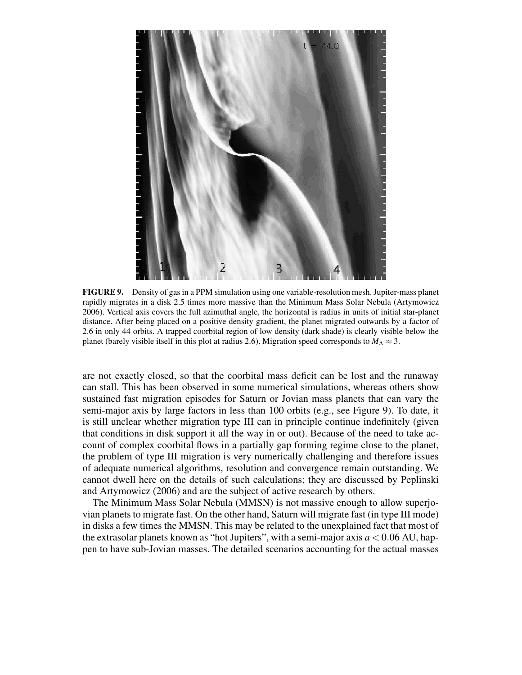

**FIGURE 9.** Density of gas in a PPM simulation using one variable-resolution mesh. Jupiter-mass planet rapidly migrates in a disk 2.5 times more massive than the Minimum Mass Solar Nebula (Artymowicz 2006). Vertical axis covers the full azimuthal angle, the horizontal is radius in units of initial star-planet distance. After being placed on a positive density gradient, the planet migrated outwards by a factor of 2.6 in only 44 orbits. A trapped coorbital region of low density (dark shade) is clearly visible below the planet (barely visible itself in this plot at radius 2.6). Migration speed corresponds to  $M_{\Delta} \approx 3$ .

are not exactly closed, so that the coorbital mass deficit can be lost and the runaway can stall. This has been observed in some numerical simulations, whereas others show sustained fast migration episodes for Saturn or Jovian mass planets that can vary the semi-major axis by large factors in less than 100 orbits (e.g., see Figure 9). To date, it is still unclear whether migration type III can in principle continue indefinitely (given that conditions in disk support it all the way in or out). Because of the need to take account of complex coorbital flows in a partially gap forming regime close to the planet, the problem of type III migration is very numerically challenging and therefore issues of adequate numerical algorithms, resolution and convergence remain outstanding. We cannot dwell here on the details of such calculations; they are discussed by Peplinski and Artymowicz (2006) and are the subject of active research by others.

The Minimum Mass Solar Nebula (MMSN) is not massive enough to allow superjovian planets to migrate fast. On the other hand, Saturn will migrate fast (in type III mode) in disks a few times the MMSN. This may be related to the unexplained fact that most of the extrasolar planets known as "hot Jupiters", with a semi-major axis  $a < 0.06$  AU, happen to have sub-Jovian masses. The detailed scenarios accounting for the actual masses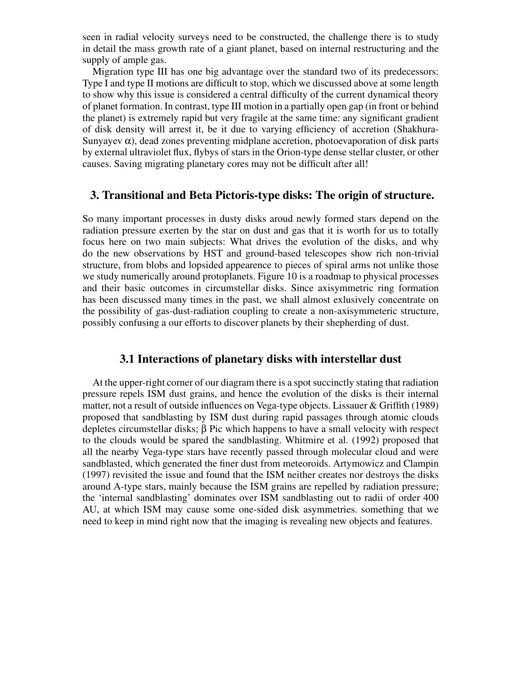seen in radial velocity surveys need to be constructed, the challenge there is to study in detail the mass growth rate of a giant planet, based on internal restructuring and the supply of ample gas.

Migration type III has one big advantage over the standard two of its predecessors: Type I and type II motions are difficult to stop, which we discussed above at some length to show why this issue is considered a central difficulty of the current dynamical theory of planet formation. In contrast, type III motion in a partially open gap (in front or behind the planet) is extremely rapid but very fragile at the same time: any significant gradient of disk density will arrest it, be it due to varying efficiency of accretion (Shakhura-Sunyayev  $\alpha$ ), dead zones preventing midplane accretion, photoevaporation of disk parts by external ultraviolet flux, flybys of stars in the Orion-type dense stellar cluster, or other causes. Saving migrating planetary cores may not be difficult after all!

#### **3. Transitional and Beta Pictoris-type disks: The origin of structure.**

So many important processes in dusty disks aroud newly formed stars depend on the radiation pressure exerten by the star on dust and gas that it is worth for us to totally focus here on two main subjects: What drives the evolution of the disks, and why do the new observations by HST and ground-based telescopes show rich non-trivial structure, from blobs and lopsided appearence to pieces of spiral arms not unlike those we study numerically around protoplanets. Figure 10 is a roadmap to physical processes and their basic outcomes in circumstellar disks. Since axisymmetric ring formation has been discussed many times in the past, we shall almost exlusively concentrate on the possibility of gas-dust-radiation coupling to create a non-axisymmeteric structure, possibly confusing a our efforts to discover planets by their shepherding of dust.

#### **3.1 Interactions of planetary disks with interstellar dust**

At the upper-right corner of our diagram there is a spotsuccinctly stating that radiation pressure repels ISM dust grains, and hence the evolution of the disks is their internal matter, not a result of outside influences on Vega-type objects. Lissauer & Griffith (1989) proposed that sandblasting by ISM dust during rapid passages through atomic clouds depletes circumstellar disks; β Pic which happens to have a small velocity with respect to the clouds would be spared the sandblasting. Whitmire et al. (1992) proposed that all the nearby Vega-type stars have recently passed through molecular cloud and were sandblasted, which generated the finer dust from meteoroids. Artymowicz and Clampin (1997) revisited the issue and found that the ISM neither creates nor destroys the disks around A-type stars, mainly because the ISM grains are repelled by radiation pressure; the 'internal sandblasting' dominates over ISM sandblasting out to radii of order 400 AU, at which ISM may cause some one-sided disk asymmetries. something that we need to keep in mind right now that the imaging is revealing new objects and features.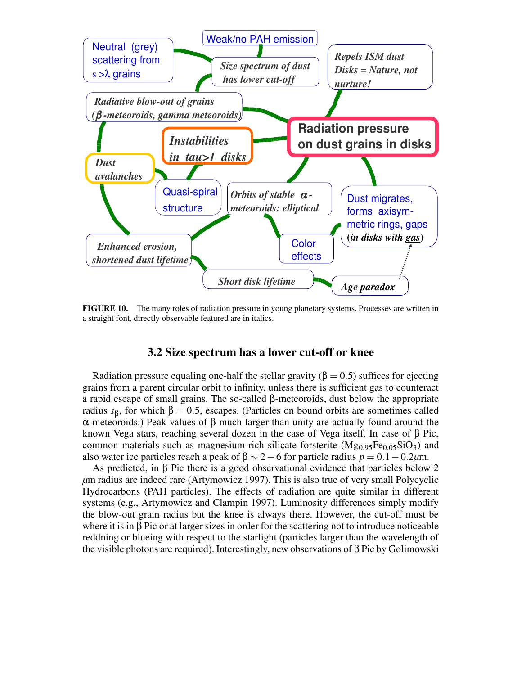

**FIGURE 10.** The many roles of radiation pressure in young planetary systems. Processes are written in a straight font, directly observable featured are in italics.

## **3.2 Size spectrum has a lower cut-off or knee**

Radiation pressure equaling one-half the stellar gravity ( $\beta = 0.5$ ) suffices for ejecting grains from a parent circular orbit to infinity, unless there is sufficient gas to counteract a rapid escape of small grains. The so-called β-meteoroids, dust below the appropriate radius  $s<sub>β</sub>$ , for which  $β = 0.5$ , escapes. (Particles on bound orbits are sometimes called α-meteoroids.) Peak values of β much larger than unity are actually found around the known Vega stars, reaching several dozen in the case of Vega itself. In case of β Pic, common materials such as magnesium-rich silicate forsterite  $(Mg_{0.95}Fe_{0.05}SiO<sub>3</sub>)$  and also water ice particles reach a peak of  $\beta \sim 2-6$  for particle radius  $p = 0.1 - 0.2 \mu m$ .

As predicted, in β Pic there is a good observational evidence that particles below 2 *µ*m radius are indeed rare (Artymowicz 1997). This is also true of very small Polycyclic Hydrocarbons (PAH particles). The effects of radiation are quite similar in different systems (e.g., Artymowicz and Clampin 1997). Luminosity differences simply modify the blow-out grain radius but the knee is always there. However, the cut-off must be where it is in β Pic or at larger sizes in order for the scattering not to introduce noticeable reddning or blueing with respect to the starlight (particles larger than the wavelength of the visible photons are required). Interestingly, new observations of  $\beta$  Pic by Golimowski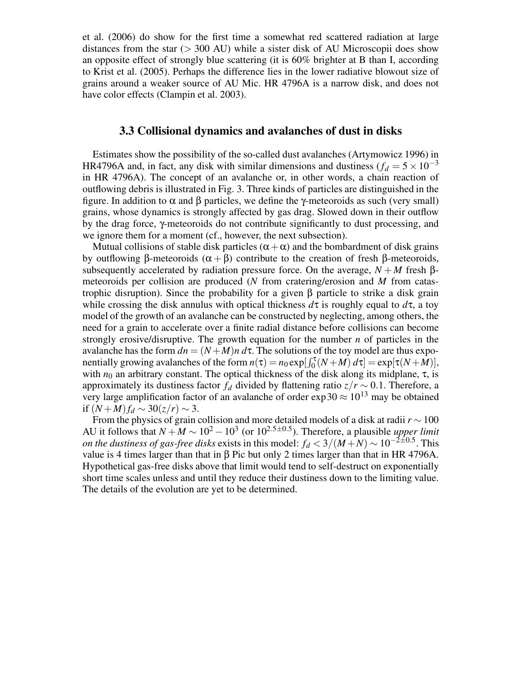et al. (2006) do show for the first time a somewhat red scattered radiation at large distances from the star ( $>$  300 AU) while a sister disk of AU Microscopii does show an opposite effect of strongly blue scattering (it is 60% brighter at B than I, according to Krist et al. (2005). Perhaps the difference lies in the lower radiative blowout size of grains around a weaker source of AU Mic. HR 4796A is a narrow disk, and does not have color effects (Clampin et al. 2003).

#### **3.3 Collisional dynamics and avalanches of dust in disks**

Estimates show the possibility of the so-called dust avalanches (Artymowicz 1996) in HR4796A and, in fact, any disk with similar dimensions and dustiness ( $f_d = 5 \times 10^{-3}$ ) in HR 4796A). The concept of an avalanche or, in other words, a chain reaction of outflowing debris is illustrated in Fig. 3. Three kinds of particles are distinguished in the figure. In addition to α and β particles, we define the γ-meteoroids as such (very small) grains, whose dynamics is strongly affected by gas drag. Slowed down in their outflow by the drag force, γ-meteoroids do not contribute significantly to dust processing, and we ignore them for a moment (cf., however, the next subsection).

Mutual collisions of stable disk particles  $(\alpha + \alpha)$  and the bombardment of disk grains by outflowing β-meteoroids  $(α + β)$  contribute to the creation of fresh β-meteoroids, subsequently accelerated by radiation pressure force. On the average,  $N + M$  fresh  $\beta$ meteoroids per collision are produced (*N* from cratering/erosion and *M* from catastrophic disruption). Since the probability for a given β particle to strike a disk grain while crossing the disk annulus with optical thickness  $d\tau$  is roughly equal to  $d\tau$ , a toy model of the growth of an avalanche can be constructed by neglecting, among others, the need for a grain to accelerate over a finite radial distance before collisions can become strongly erosive/disruptive. The growth equation for the number *n* of particles in the avalanche has the form  $dn = (N + M)n d\tau$ . The solutions of the toy model are thus exponentially growing avalanches of the form  $n(\tau) = n_0 \exp[\int_0^{\tau} (N + M) d\tau] = \exp[\tau(N + M)],$ with  $n_0$  an arbitrary constant. The optical thickness of the disk along its midplane,  $\tau$ , is approximately its dustiness factor  $f_d$  divided by flattening ratio  $z/r \sim 0.1$ . Therefore, a very large amplification factor of an avalanche of order  $\exp 30 \approx 10^{13}$  may be obtained if  $(N+M) f_d \sim 30(z/r) \sim 3$ .

From the physics of grain collision and more detailed models of a disk at radii *r* ∼ 100 AU it follows that  $N + M \sim 10^2 - 10^3$  (or  $10^{2.5 \pm 0.5}$ ). Therefore, a plausible *upper limit on the dustiness of gas-free disks* exists in this model:  $f_d < 3/(M+N) \sim 10^{-2\pm0.5}$ . This value is 4 times larger than that in β Pic but only 2 times larger than that in HR 4796A. Hypothetical gas-free disks above that limit would tend to self-destruct on exponentially short time scales unless and until they reduce their dustiness down to the limiting value. The details of the evolution are yet to be determined.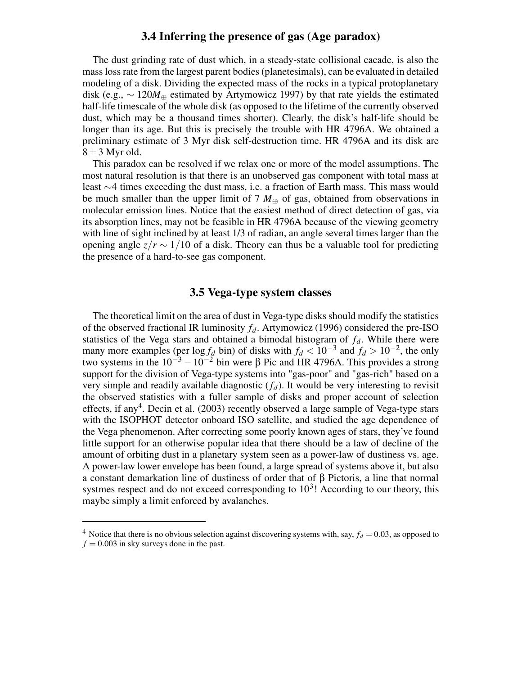#### **3.4 Inferring the presence of gas (Age paradox)**

The dust grinding rate of dust which, in a steady-state collisional cacade, is also the masslossrate from the largest parent bodies(planetesimals), can be evaluated in detailed modeling of a disk. Dividing the expected mass of the rocks in a typical protoplanetary disk (e.g., ∼ 120*M*<sup>⊕</sup> estimated by Artymowicz 1997) by that rate yields the estimated half-life timescale of the whole disk (as opposed to the lifetime of the currently observed dust, which may be a thousand times shorter). Clearly, the disk's half-life should be longer than its age. But this is precisely the trouble with HR 4796A. We obtained a preliminary estimate of 3 Myr disk self-destruction time. HR 4796A and its disk are  $8 \pm 3$  Myr old.

This paradox can be resolved if we relax one or more of the model assumptions. The most natural resolution is that there is an unobserved gas component with total mass at least ∼4 times exceeding the dust mass, i.e. a fraction of Earth mass. This mass would be much smaller than the upper limit of 7  $M_{\oplus}$  of gas, obtained from observations in molecular emission lines. Notice that the easiest method of direct detection of gas, via its absorption lines, may not be feasible in HR 4796A because of the viewing geometry with line of sight inclined by at least 1/3 of radian, an angle several times larger than the opening angle  $z/r \sim 1/10$  of a disk. Theory can thus be a valuable tool for predicting the presence of a hard-to-see gas component.

# **3.5 Vega-type system classes**

The theoretical limit on the area of dust in Vega-type disks should modify the statistics of the observed fractional IR luminosity *fd*. Artymowicz (1996) considered the pre-ISO statistics of the Vega stars and obtained a bimodal histogram of *fd*. While there were many more examples (per  $\log f_d$  bin) of disks with  $f_d < 10^{-3}$  and  $f_d > 10^{-2}$ , the only two systems in the  $10^{-3} - 10^{-2}$  bin were β Pic and HR 4796A. This provides a strong support for the division of Vega-type systems into "gas-poor" and "gas-rich" based on a very simple and readily available diagnostic (*fd*). It would be very interesting to revisit the observed statistics with a fuller sample of disks and proper account of selection effects, if any<sup>4</sup>. Decin et al. (2003) recently observed a large sample of Vega-type stars with the ISOPHOT detector onboard ISO satellite, and studied the age dependence of the Vega phenomenon. After correcting some poorly known ages of stars, they've found little support for an otherwise popular idea that there should be a law of decline of the amount of orbiting dust in a planetary system seen as a power-law of dustiness vs. age. A power-law lower envelope has been found, a large spread of systems above it, but also a constant demarkation line of dustiness of order that of β Pictoris, a line that normal systmes respect and do not exceed corresponding to  $10<sup>3</sup>$ ! According to our theory, this maybe simply a limit enforced by avalanches.

<sup>&</sup>lt;sup>4</sup> Notice that there is no obvious selection against discovering systems with, say,  $f_d = 0.03$ , as opposed to  $f = 0.003$  in sky surveys done in the past.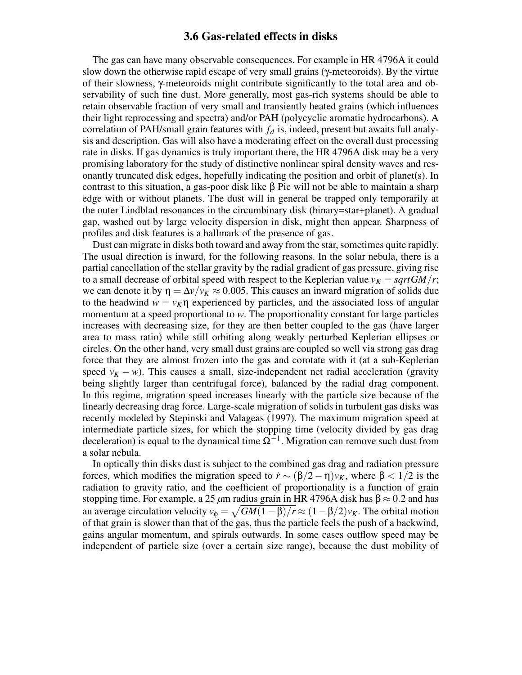#### **3.6 Gas-related effects in disks**

The gas can have many observable consequences. For example in HR 4796A it could slow down the otherwise rapid escape of very small grains (γ-meteoroids). By the virtue of their slowness, γ-meteoroids might contribute significantly to the total area and observability of such fine dust. More generally, most gas-rich systems should be able to retain observable fraction of very small and transiently heated grains (which influences their light reprocessing and spectra) and/or PAH (polycyclic aromatic hydrocarbons). A correlation of PAH/small grain features with *f<sup>d</sup>* is, indeed, present but awaits full analysis and description. Gas will also have a moderating effect on the overall dust processing rate in disks. If gas dynamics is truly important there, the HR 4796A disk may be a very promising laboratory for the study of distinctive nonlinear spiral density waves and resonantly truncated disk edges, hopefully indicating the position and orbit of planet(s). In contrast to this situation, a gas-poor disk like β Pic will not be able to maintain a sharp edge with or without planets. The dust will in general be trapped only temporarily at the outer Lindblad resonances in the circumbinary disk (binary=star+planet). A gradual gap, washed out by large velocity dispersion in disk, might then appear. Sharpness of profiles and disk features is a hallmark of the presence of gas.

Dust can migrate in disks both toward and away from the star, sometimes quite rapidly. The usual direction is inward, for the following reasons. In the solar nebula, there is a partial cancellation of the stellar gravity by the radial gradient of gas pressure, giving rise to a small decrease of orbital speed with respect to the Keplerian value  $v_K = \frac{sqrt{GM}}{r}$ ; we can denote it by  $\eta = \Delta v / v_K \approx 0.005$ . This causes an inward migration of solids due to the headwind  $w = v_K \eta$  experienced by particles, and the associated loss of angular momentum at a speed proportional to *w*. The proportionality constant for large particles increases with decreasing size, for they are then better coupled to the gas (have larger area to mass ratio) while still orbiting along weakly perturbed Keplerian ellipses or circles. On the other hand, very small dust grains are coupled so well via strong gas drag force that they are almost frozen into the gas and corotate with it (at a sub-Keplerian speed  $v_K$  − *w*). This causes a small, size-independent net radial acceleration (gravity being slightly larger than centrifugal force), balanced by the radial drag component. In this regime, migration speed increases linearly with the particle size because of the linearly decreasing drag force. Large-scale migration of solids in turbulent gas disks was recently modeled by Stepinski and Valageas (1997). The maximum migration speed at intermediate particle sizes, for which the stopping time (velocity divided by gas drag deceleration) is equal to the dynamical time  $\Omega^{-1}$ . Migration can remove such dust from a solar nebula.

In optically thin disks dust is subject to the combined gas drag and radiation pressure forces, which modifies the migration speed to  $\dot{r} \sim (\beta/2 - \eta)v_K$ , where  $\beta < 1/2$  is the radiation to gravity ratio, and the coefficient of proportionality is a function of grain stopping time. For example, a 25  $\mu$ m radius grain in HR 4796A disk has  $\beta \approx 0.2$  and has an average circulation velocity  $v_{\phi} = \sqrt{GM(1-\beta)/r} \approx (1-\beta/2)v_K$ . The orbital motion of that grain is slower than that of the gas, thus the particle feels the push of a backwind, gains angular momentum, and spirals outwards. In some cases outflow speed may be independent of particle size (over a certain size range), because the dust mobility of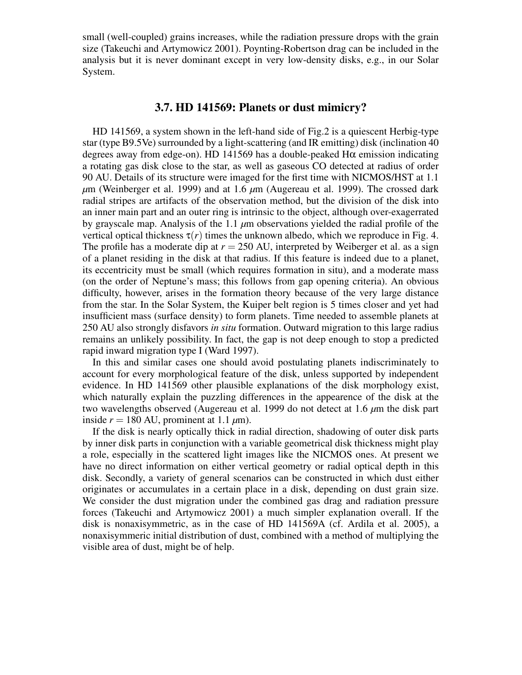small (well-coupled) grains increases, while the radiation pressure drops with the grain size (Takeuchi and Artymowicz 2001). Poynting-Robertson drag can be included in the analysis but it is never dominant except in very low-density disks, e.g., in our Solar System.

#### **3.7. HD 141569: Planets or dust mimicry?**

HD 141569, a system shown in the left-hand side of Fig.2 is a quiescent Herbig-type star (type B9.5Ve) surrounded by a light-scattering (and IR emitting) disk (inclination 40 degrees away from edge-on). HD 141569 has a double-peaked Hα emission indicating a rotating gas disk close to the star, as well as gaseous CO detected at radius of order 90 AU. Details of its structure were imaged for the first time with NICMOS/HST at 1.1 *µ*m (Weinberger et al. 1999) and at 1.6 *µ*m (Augereau et al. 1999). The crossed dark radial stripes are artifacts of the observation method, but the division of the disk into an inner main part and an outer ring is intrinsic to the object, although over-exagerrated by grayscale map. Analysis of the 1.1 *µ*m observations yielded the radial profile of the vertical optical thickness  $\tau(r)$  times the unknown albedo, which we reproduce in Fig. 4. The profile has a moderate dip at  $r = 250$  AU, interpreted by Weiberger et al. as a sign of a planet residing in the disk at that radius. If this feature is indeed due to a planet, its eccentricity must be small (which requires formation in situ), and a moderate mass (on the order of Neptune's mass; this follows from gap opening criteria). An obvious difficulty, however, arises in the formation theory because of the very large distance from the star. In the Solar System, the Kuiper belt region is 5 times closer and yet had insufficient mass (surface density) to form planets. Time needed to assemble planets at 250 AU also strongly disfavors *in situ* formation. Outward migration to this large radius remains an unlikely possibility. In fact, the gap is not deep enough to stop a predicted rapid inward migration type I (Ward 1997).

In this and similar cases one should avoid postulating planets indiscriminately to account for every morphological feature of the disk, unless supported by independent evidence. In HD 141569 other plausible explanations of the disk morphology exist, which naturally explain the puzzling differences in the appearence of the disk at the two wavelengths observed (Augereau et al. 1999 do not detect at 1.6 *µ*m the disk part inside  $r = 180$  AU, prominent at 1.1  $\mu$ m).

If the disk is nearly optically thick in radial direction, shadowing of outer disk parts by inner disk parts in conjunction with a variable geometrical disk thickness might play a role, especially in the scattered light images like the NICMOS ones. At present we have no direct information on either vertical geometry or radial optical depth in this disk. Secondly, a variety of general scenarios can be constructed in which dust either originates or accumulates in a certain place in a disk, depending on dust grain size. We consider the dust migration under the combined gas drag and radiation pressure forces (Takeuchi and Artymowicz 2001) a much simpler explanation overall. If the disk is nonaxisymmetric, as in the case of HD 141569A (cf. Ardila et al. 2005), a nonaxisymmeric initial distribution of dust, combined with a method of multiplying the visible area of dust, might be of help.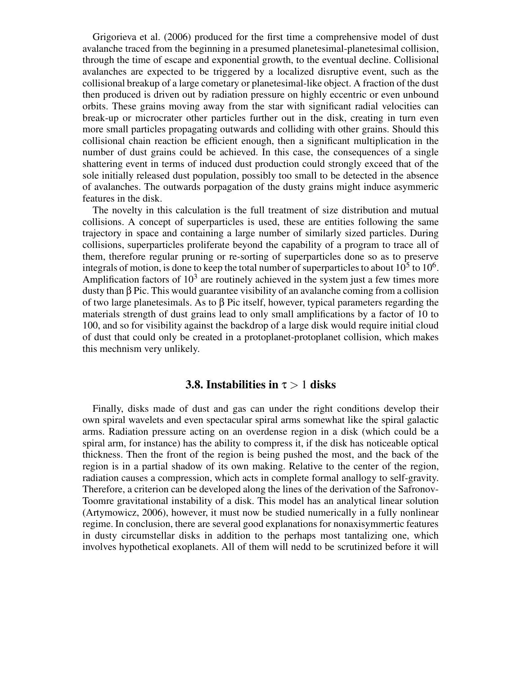Grigorieva et al. (2006) produced for the first time a comprehensive model of dust avalanche traced from the beginning in a presumed planetesimal-planetesimal collision, through the time of escape and exponential growth, to the eventual decline. Collisional avalanches are expected to be triggered by a localized disruptive event, such as the collisional breakup of a large cometary or planetesimal-like object. A fraction of the dust then produced is driven out by radiation pressure on highly eccentric or even unbound orbits. These grains moving away from the star with significant radial velocities can break-up or microcrater other particles further out in the disk, creating in turn even more small particles propagating outwards and colliding with other grains. Should this collisional chain reaction be efficient enough, then a significant multiplication in the number of dust grains could be achieved. In this case, the consequences of a single shattering event in terms of induced dust production could strongly exceed that of the sole initially released dust population, possibly too small to be detected in the absence of avalanches. The outwards porpagation of the dusty grains might induce asymmeric features in the disk.

The novelty in this calculation is the full treatment of size distribution and mutual collisions. A concept of superparticles is used, these are entities following the same trajectory in space and containing a large number of similarly sized particles. During collisions, superparticles proliferate beyond the capability of a program to trace all of them, therefore regular pruning or re-sorting of superparticles done so as to preserve integrals of motion, is done to keep the total number of superparticles to about  $10^5$  to  $10^6$ . Amplification factors of  $10<sup>3</sup>$  are routinely achieved in the system just a few times more dusty than β Pic. This would guarantee visibility of an avalanche coming from a collision of two large planetesimals. As to β Pic itself, however, typical parameters regarding the materials strength of dust grains lead to only small amplifications by a factor of 10 to 100, and so for visibility against the backdrop of a large disk would require initial cloud of dust that could only be created in a protoplanet-protoplanet collision, which makes this mechnism very unlikely.

## **3.8. Instabilities in**  $\tau > 1$  **disks**

Finally, disks made of dust and gas can under the right conditions develop their own spiral wavelets and even spectacular spiral arms somewhat like the spiral galactic arms. Radiation pressure acting on an overdense region in a disk (which could be a spiral arm, for instance) has the ability to compress it, if the disk has noticeable optical thickness. Then the front of the region is being pushed the most, and the back of the region is in a partial shadow of its own making. Relative to the center of the region, radiation causes a compression, which acts in complete formal anallogy to self-gravity. Therefore, a criterion can be developed along the lines of the derivation of the Safronov-Toomre gravitational instability of a disk. This model has an analytical linear solution (Artymowicz, 2006), however, it must now be studied numerically in a fully nonlinear regime. In conclusion, there are several good explanations for nonaxisymmertic features in dusty circumstellar disks in addition to the perhaps most tantalizing one, which involves hypothetical exoplanets. All of them will nedd to be scrutinized before it will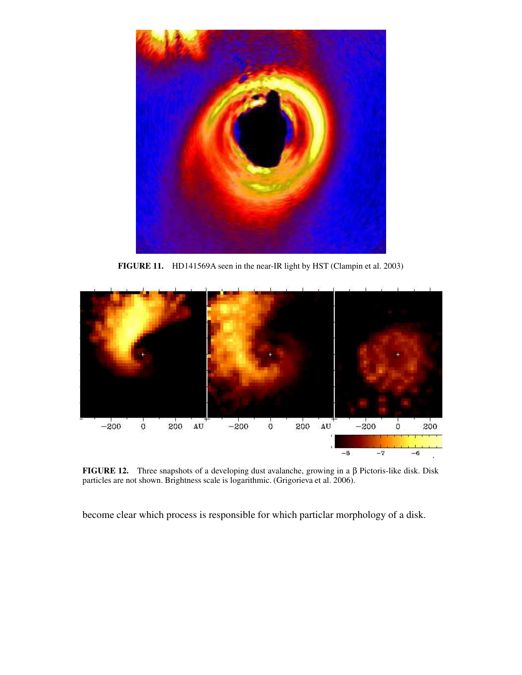

**FIGURE 11.** HD141569A seen in the near-IR light by HST (Clampin et al. 2003)



**FIGURE 12.** Three snapshots of a developing dust avalanche, growing in a β Pictoris-like disk. Disk particles are not shown. Brightness scale is logarithmic. (Grigorieva et al. 2006).

become clear which process is responsible for which particlar morphology of a disk.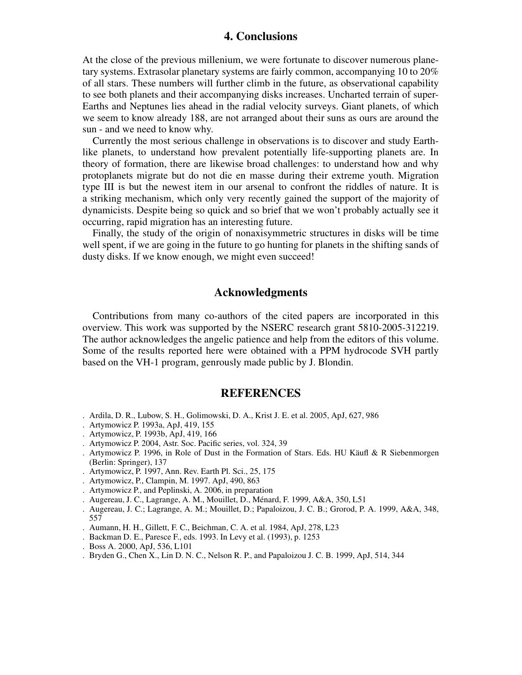#### **4. Conclusions**

At the close of the previous millenium, we were fortunate to discover numerous planetary systems. Extrasolar planetary systems are fairly common, accompanying 10 to 20% of all stars. These numbers will further climb in the future, as observational capability to see both planets and their accompanying disks increases. Uncharted terrain of super-Earths and Neptunes lies ahead in the radial velocity surveys. Giant planets, of which we seem to know already 188, are not arranged about their suns as ours are around the sun - and we need to know why.

Currently the most serious challenge in observations is to discover and study Earthlike planets, to understand how prevalent potentially life-supporting planets are. In theory of formation, there are likewise broad challenges: to understand how and why protoplanets migrate but do not die en masse during their extreme youth. Migration type III is but the newest item in our arsenal to confront the riddles of nature. It is a striking mechanism, which only very recently gained the support of the majority of dynamicists. Despite being so quick and so brief that we won't probably actually see it occurring, rapid migration has an interesting future.

Finally, the study of the origin of nonaxisymmetric structures in disks will be time well spent, if we are going in the future to go hunting for planets in the shifting sands of dusty disks. If we know enough, we might even succeed!

#### **Acknowledgments**

Contributions from many co-authors of the cited papers are incorporated in this overview. This work was supported by the NSERC research grant 5810-2005-312219. The author acknowledges the angelic patience and help from the editors of this volume. Some of the results reported here were obtained with a PPM hydrocode SVH partly based on the VH-1 program, genrously made public by J. Blondin.

#### **REFERENCES**

- . Ardila, D. R., Lubow, S. H., Golimowski, D. A., Krist J. E. et al. 2005, ApJ, 627, 986
- . Artymowicz P. 1993a, ApJ, 419, 155
- . Artymowicz, P. 1993b, ApJ, 419, 166
- . Artymowicz P. 2004, Astr. Soc. Pacific series, vol. 324, 39
- . Artymowicz P. 1996, in Role of Dust in the Formation of Stars. Eds. HU Käufl & R Siebenmorgen (Berlin: Springer), 137
- . Artymowicz, P. 1997, Ann. Rev. Earth Pl. Sci., 25, 175
- . Artymowicz, P., Clampin, M. 1997. ApJ, 490, 863
- . Artymowicz P., and Peplinski, A. 2006, in preparation
- . Augereau, J. C., Lagrange, A. M., Mouillet, D., Ménard, F. 1999, A&A, 350, L51
- . Augereau, J. C.; Lagrange, A. M.; Mouillet, D.; Papaloizou, J. C. B.; Grorod, P. A. 1999, A&A, 348, 557
- . Aumann, H. H., Gillett, F. C., Beichman, C. A. et al. 1984, ApJ, 278, L23
- . Backman D. E., Paresce F., eds. 1993. In Levy et al. (1993), p. 1253
- . Boss A. 2000, ApJ, 536, L101
- . Bryden G., Chen X., Lin D. N. C., Nelson R. P., and Papaloizou J. C. B. 1999, ApJ, 514, 344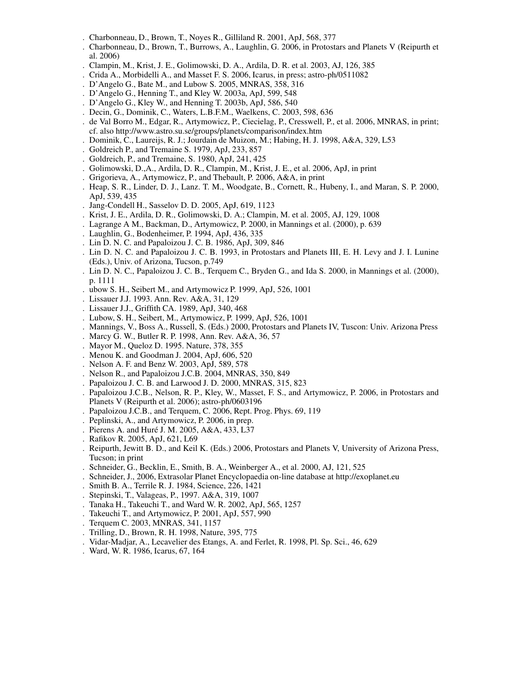- . Charbonneau, D., Brown, T., Noyes R., Gilliland R. 2001, ApJ, 568, 377
- . Charbonneau, D., Brown, T., Burrows, A., Laughlin, G. 2006, in Protostars and Planets V (Reipurth et al. 2006)
- . Clampin, M., Krist, J. E., Golimowski, D. A., Ardila, D. R. et al. 2003, AJ, 126, 385
- . Crida A., Morbidelli A., and Masset F. S. 2006, Icarus, in press; astro-ph/0511082
- . D'Angelo G., Bate M., and Lubow S. 2005, MNRAS, 358, 316
- . D'Angelo G., Henning T., and Kley W. 2003a, ApJ, 599, 548
- . D'Angelo G., Kley W., and Henning T. 2003b, ApJ, 586, 540
- . Decin, G., Dominik, C., Waters, L.B.F.M., Waelkens, C. 2003, 598, 636
- . de Val Borro M., Edgar, R., Artymowicz, P., Ciecielag, P., Cresswell, P., et al. 2006, MNRAS, in print; cf. also http://www.astro.su.se/groups/planets/comparison/index.htm
- . Dominik, C., Laureijs, R. J.; Jourdain de Muizon, M.; Habing, H. J. 1998, A&A, 329, L53
- . Goldreich P., and Tremaine S. 1979, ApJ, 233, 857
- . Goldreich, P., and Tremaine, S. 1980, ApJ, 241, 425
- . Golimowski, D.,A., Ardila, D. R., Clampin, M., Krist, J. E., et al. 2006, ApJ, in print
- . Grigorieva, A., Artymowicz, P., and Thebault, P. 2006, A&A, in print
- . Heap, S. R., Linder, D. J., Lanz. T. M., Woodgate, B., Cornett, R., Hubeny, I., and Maran, S. P. 2000, ApJ, 539, 435
- . Jang-Condell H., Sasselov D. D. 2005, ApJ, 619, 1123
- . Krist, J. E., Ardila, D. R., Golimowski, D. A.; Clampin, M. et al. 2005, AJ, 129, 1008
- . Lagrange A M., Backman, D., Artymowicz, P. 2000, in Mannings et al. (2000), p. 639
- . Laughlin, G., Bodenheimer, P. 1994, ApJ, 436, 335
- . Lin D. N. C. and Papaloizou J. C. B. 1986, ApJ, 309, 846
- . Lin D. N. C. and Papaloizou J. C. B. 1993, in Protostars and Planets III, E. H. Levy and J. I. Lunine (Eds.), Univ. of Arizona, Tucson, p.749
- . Lin D. N. C., Papaloizou J. C. B., Terquem C., Bryden G., and Ida S. 2000, in Mannings et al. (2000), p. 1111
- . ubow S. H., Seibert M., and Artymowicz P. 1999, ApJ, 526, 1001
- . Lissauer J.J. 1993. Ann. Rev. A&A, 31, 129
- . Lissauer J.J., Griffith CA. 1989, ApJ, 340, 468
- . Lubow, S. H., Seibert, M., Artymowicz, P. 1999, ApJ, 526, 1001
- . Mannings, V., Boss A., Russell, S. (Eds.) 2000, Protostars and Planets IV, Tuscon: Univ. Arizona Press
- . Marcy G. W., Butler R. P. 1998, Ann. Rev. A&A, 36, 57
- . Mayor M., Queloz D. 1995. Nature, 378, 355
- . Menou K. and Goodman J. 2004, ApJ, 606, 520
- . Nelson A. F. and Benz W. 2003, ApJ, 589, 578
- . Nelson R., and Papaloizou J.C.B. 2004, MNRAS, 350, 849
- . Papaloizou J. C. B. and Larwood J. D. 2000, MNRAS, 315, 823
- . Papaloizou J.C.B., Nelson, R. P., Kley, W., Masset, F. S., and Artymowicz, P. 2006, in Protostars and Planets V (Reipurth et al. 2006); astro-ph/0603196
- . Papaloizou J.C.B., and Terquem, C. 2006, Rept. Prog. Phys. 69, 119
- . Peplinski, A., and Artymowicz, P. 2006, in prep.
- . Pierens A. and Huré J. M. 2005, A&A, 433, L37
- . Rafikov R. 2005, ApJ, 621, L69
- . Reipurth, Jewitt B. D., and Keil K. (Eds.) 2006, Protostars and Planets V, University of Arizona Press, Tucson; in print
- . Schneider, G., Becklin, E., Smith, B. A., Weinberger A., et al. 2000, AJ, 121, 525
- . Schneider, J., 2006, Extrasolar Planet Encyclopaedia on-line database at http://exoplanet.eu
- . Smith B. A., Terrile R. J. 1984, Science, 226, 1421
- . Stepinski, T., Valageas, P., 1997. A&A, 319, 1007
- . Tanaka H., Takeuchi T., and Ward W. R. 2002, ApJ, 565, 1257
- . Takeuchi T., and Artymowicz, P. 2001, ApJ, 557, 990
- . Terquem C. 2003, MNRAS, 341, 1157
- . Trilling, D., Brown, R. H. 1998, Nature, 395, 775
- . Vidar-Madjar, A., Lecavelier des Etangs, A. and Ferlet, R. 1998, Pl. Sp. Sci., 46, 629
- . Ward, W. R. 1986, Icarus, 67, 164